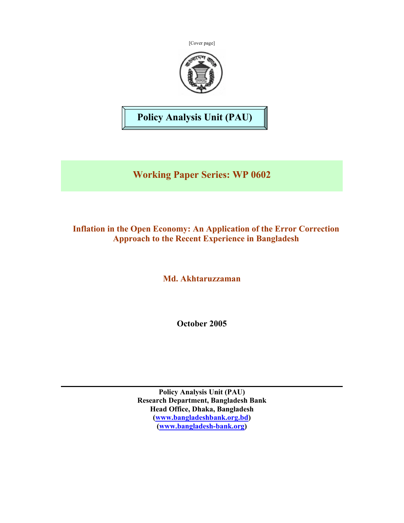[Cover page]



**Policy Analysis Unit (PAU)** 

**Working Paper Series: WP 0602** 

## **Inflation in the Open Economy: An Application of the Error Correction Approach to the Recent Experience in Bangladesh**

**Md. Akhtaruzzaman** 

**October 2005** 

**Policy Analysis Unit (PAU) Research Department, Bangladesh Bank Head Office, Dhaka, Bangladesh (www.bangladeshbank.org.bd) (www.bangladesh-bank.org)**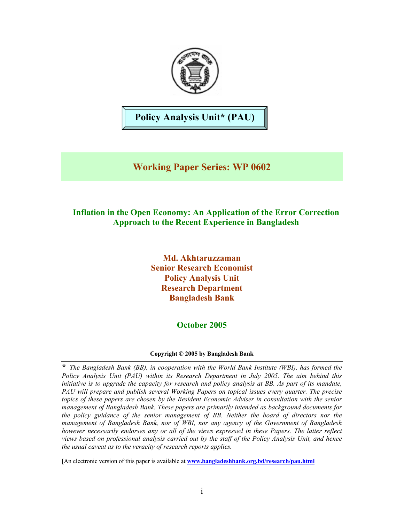

**Policy Analysis Unit\* (PAU)** 

# **Working Paper Series: WP 0602**

## **Inflation in the Open Economy: An Application of the Error Correction Approach to the Recent Experience in Bangladesh**

**Md. Akhtaruzzaman Senior Research Economist Policy Analysis Unit Research Department Bangladesh Bank** 

## **October 2005**

#### **Copyright © 2005 by Bangladesh Bank**

**\*** *The Bangladesh Bank (BB), in cooperation with the World Bank Institute (WBI), has formed the Policy Analysis Unit (PAU) within its Research Department in July 2005. The aim behind this initiative is to upgrade the capacity for research and policy analysis at BB. As part of its mandate, PAU will prepare and publish several Working Papers on topical issues every quarter. The precise topics of these papers are chosen by the Resident Economic Adviser in consultation with the senior management of Bangladesh Bank. These papers are primarily intended as background documents for the policy guidance of the senior management of BB. Neither the board of directors nor the management of Bangladesh Bank, nor of WBI, nor any agency of the Government of Bangladesh however necessarily endorses any or all of the views expressed in these Papers. The latter reflect views based on professional analysis carried out by the staff of the Policy Analysis Unit, and hence the usual caveat as to the veracity of research reports applies.* 

[An electronic version of this paper is available at **www.bangladeshbank.org.bd/research/pau.html**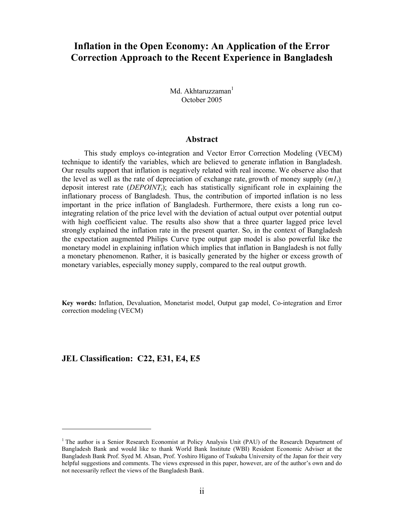## **Inflation in the Open Economy: An Application of the Error Correction Approach to the Recent Experience in Bangladesh**

Md. Akhtaruzzaman<sup>1</sup> October 2005

#### **Abstract**

This study employs co-integration and Vector Error Correction Modeling (VECM) technique to identify the variables, which are believed to generate inflation in Bangladesh. Our results support that inflation is negatively related with real income. We observe also that the level as well as the rate of depreciation of exchange rate, growth of money supply  $(m_l)$ deposit interest rate  $(DEPOINT<sub>t</sub>)$ ; each has statistically significant role in explaining the inflationary process of Bangladesh. Thus, the contribution of imported inflation is no less important in the price inflation of Bangladesh. Furthermore, there exists a long run cointegrating relation of the price level with the deviation of actual output over potential output with high coefficient value. The results also show that a three quarter lagged price level strongly explained the inflation rate in the present quarter. So, in the context of Bangladesh the expectation augmented Philips Curve type output gap model is also powerful like the monetary model in explaining inflation which implies that inflation in Bangladesh is not fully a monetary phenomenon. Rather, it is basically generated by the higher or excess growth of monetary variables, especially money supply, compared to the real output growth.

**Key words:** Inflation, Devaluation, Monetarist model, Output gap model, Co-integration and Error correction modeling (VECM)

#### **JEL Classification: C22, E31, E4, E5**

 $\overline{a}$ 

<sup>&</sup>lt;sup>1</sup> The author is a Senior Research Economist at Policy Analysis Unit (PAU) of the Research Department of Bangladesh Bank and would like to thank World Bank Institute (WBI) Resident Economic Adviser at the Bangladesh Bank Prof. Syed M. Ahsan, Prof. Yoshiro Higano of Tsukuba University of the Japan for their very helpful suggestions and comments. The views expressed in this paper, however, are of the author's own and do not necessarily reflect the views of the Bangladesh Bank.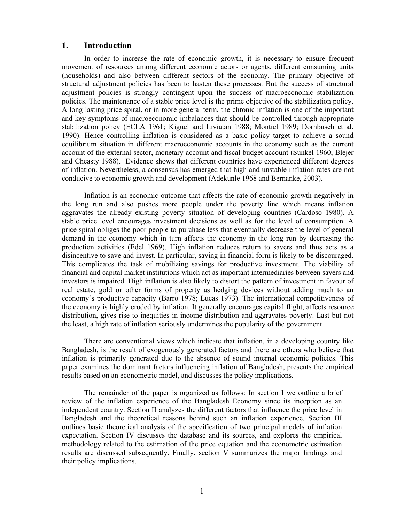#### **1. Introduction**

In order to increase the rate of economic growth, it is necessary to ensure frequent movement of resources among different economic actors or agents, different consuming units (households) and also between different sectors of the economy. The primary objective of structural adjustment policies has been to hasten these processes. But the success of structural adjustment policies is strongly contingent upon the success of macroeconomic stabilization policies. The maintenance of a stable price level is the prime objective of the stabilization policy. A long lasting price spiral, or in more general term, the chronic inflation is one of the important and key symptoms of macroeconomic imbalances that should be controlled through appropriate stabilization policy (ECLA 1961; Kiguel and Liviatan 1988; Montiel 1989; Dornbusch et al. 1990). Hence controlling inflation is considered as a basic policy target to achieve a sound equilibrium situation in different macroeconomic accounts in the economy such as the current account of the external sector, monetary account and fiscal budget account (Sunkel 1960; Blejer and Cheasty 1988). Evidence shows that different countries have experienced different degrees of inflation. Nevertheless, a consensus has emerged that high and unstable inflation rates are not conducive to economic growth and development (Adekunle 1968 and Bernanke, 2003).

Inflation is an economic outcome that affects the rate of economic growth negatively in the long run and also pushes more people under the poverty line which means inflation aggravates the already existing poverty situation of developing countries (Cardoso 1980). A stable price level encourages investment decisions as well as for the level of consumption. A price spiral obliges the poor people to purchase less that eventually decrease the level of general demand in the economy which in turn affects the economy in the long run by decreasing the production activities (Edel 1969). High inflation reduces return to savers and thus acts as a disincentive to save and invest. In particular, saving in financial form is likely to be discouraged. This complicates the task of mobilizing savings for productive investment. The viability of financial and capital market institutions which act as important intermediaries between savers and investors is impaired. High inflation is also likely to distort the pattern of investment in favour of real estate, gold or other forms of property as hedging devices without adding much to an economy's productive capacity (Barro 1978; Lucas 1973). The international competitiveness of the economy is highly eroded by inflation. It generally encourages capital flight, affects resource distribution, gives rise to inequities in income distribution and aggravates poverty. Last but not the least, a high rate of inflation seriously undermines the popularity of the government.

There are conventional views which indicate that inflation, in a developing country like Bangladesh, is the result of exogenously generated factors and there are others who believe that inflation is primarily generated due to the absence of sound internal economic policies. This paper examines the dominant factors influencing inflation of Bangladesh, presents the empirical results based on an econometric model, and discusses the policy implications.

The remainder of the paper is organized as follows: In section I we outline a brief review of the inflation experience of the Bangladesh Economy since its inception as an independent country. Section II analyzes the different factors that influence the price level in Bangladesh and the theoretical reasons behind such an inflation experience. Section III outlines basic theoretical analysis of the specification of two principal models of inflation expectation. Section IV discusses the database and its sources, and explores the empirical methodology related to the estimation of the price equation and the econometric estimation results are discussed subsequently. Finally, section V summarizes the major findings and their policy implications.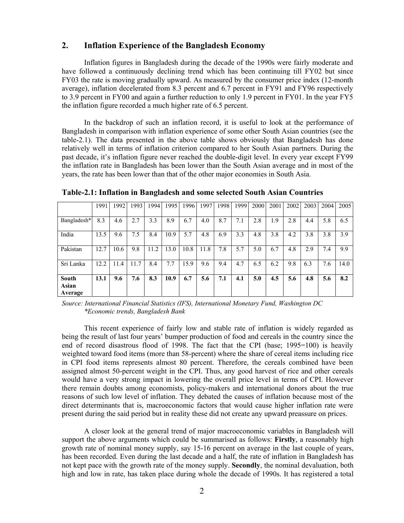### **2. Inflation Experience of the Bangladesh Economy**

Inflation figures in Bangladesh during the decade of the 1990s were fairly moderate and have followed a continuously declining trend which has been continuing till FY02 but since FY03 the rate is moving gradually upward. As measured by the consumer price index (12-month average), inflation decelerated from 8.3 percent and 6.7 percent in FY91 and FY96 respectively to 3.9 percent in FY00 and again a further reduction to only 1.9 percent in FY01. In the year FY5 the inflation figure recorded a much higher rate of 6.5 percent.

In the backdrop of such an inflation record, it is useful to look at the performance of Bangladesh in comparison with inflation experience of some other South Asian countries (see the table-2.1). The data presented in the above table shows obviously that Bangladesh has done relatively well in terms of inflation criterion compared to her South Asian partners. During the past decade, it's inflation figure never reached the double-digit level. In every year except FY99 the inflation rate in Bangladesh has been lower than the South Asian average and in most of the years, the rate has been lower than that of the other major economies in South Asia.

|                           | 1991 | 1992 | 1993 | 1994 | 1995 | 1996 | 1997 | 1998 | 1999 | 2000 | 2001 | 2002 | 2003 | 2004 | 2005 |
|---------------------------|------|------|------|------|------|------|------|------|------|------|------|------|------|------|------|
| Bangladesh*               | 8.3  | 4.6  | 2.7  | 3.3  | 8.9  | 6.7  | 4.0  | 8.7  | 7.1  | 2.8  | 1.9  | 2.8  | 4.4  | 5.8  | 6.5  |
| India                     | 13.5 | 9.6  | 7.5  | 8.4  | 10.9 | 5.7  | 4.8  | 6.9  | 3.3  | 4.8  | 3.8  | 4.2  | 3.8  | 3.8  | 3.9  |
| Pakistan                  | 12.7 | 10.6 | 9.8  | 11.2 | 13.0 | 10.8 | 11.8 | 7.8  | 5.7  | 5.0  | 6.7  | 4.8  | 2.9  | 7.4  | 9.9  |
| Sri Lanka                 | 12.2 | 11.4 | 11.7 | 8.4  | 7.7  | 15.9 | 9.6  | 9.4  | 4.7  | 6.5  | 6.2  | 9.8  | 6.3  | 7.6  | 14.0 |
| South<br>Asian<br>Average | 13.1 | 9.6  | 7.6  | 8.3  | 10.9 | 6.7  | 5.6  | 7.1  | 4.1  | 5.0  | 4.5  | 5.6  | 4.8  | 5.6  | 8.2  |

**Table-2.1: Inflation in Bangladesh and some selected South Asian Countries** 

*Source: International Financial Statistics (IFS), International Monetary Fund, Washington DC \*Economic trends, Bangladesh Bank* 

This recent experience of fairly low and stable rate of inflation is widely regarded as being the result of last four years' bumper production of food and cereals in the country since the end of record disastrous flood of 1998. The fact that the CPI (base; 1995=100) is heavily weighted toward food items (more than 58-percent) where the share of cereal items including rice in CPI food items represents almost 80 percent. Therefore, the cereals combined have been assigned almost 50-percent weight in the CPI. Thus, any good harvest of rice and other cereals would have a very strong impact in lowering the overall price level in terms of CPI. However there remain doubts among economists, policy-makers and international donors about the true reasons of such low level of inflation. They debated the causes of inflation because most of the direct determinants that is, macroeconomic factors that would cause higher inflation rate were present during the said period but in reality these did not create any upward preassure on prices.

A closer look at the general trend of major macroeconomic variables in Bangladesh will support the above arguments which could be summarised as follows: **Firstly**, a reasonably high growth rate of nominal money supply, say 15-16 percent on average in the last couple of years, has been recorded. Even during the last decade and a half, the rate of inflation in Bangladesh has not kept pace with the growth rate of the money supply. **Secondly**, the nominal devaluation, both high and low in rate, has taken place during whole the decade of 1990s. It has registered a total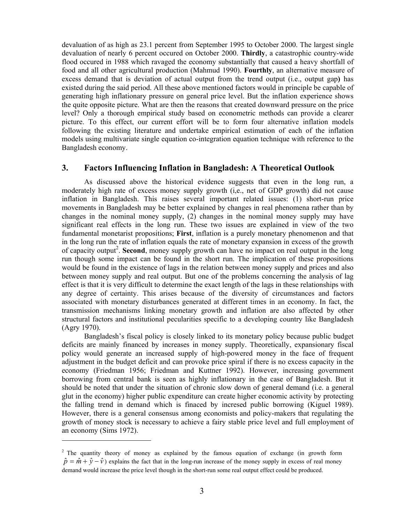devaluation of as high as 23.1 percent from September 1995 to October 2000. The largest single devaluation of nearly 6 percent occured on October 2000. **Thirdly**, a catastrophic country-wide flood occured in 1988 which ravaged the economy substantially that caused a heavy shortfall of food and all other agricultural production (Mahmud 1990). **Fourthly**, an alternative measure of excess demand that is deviation of actual output from the trend output (i.e., output gap**)** has existed during the said period. All these above mentioned factors would in principle be capable of generating high inflationary pressure on general price level. But the inflation experience shows the quite opposite picture. What are then the reasons that created downward pressure on the price level? Only a thorough empirical study based on econometric methods can provide a clearer picture. To this effect, our current effort will be to form four alternative inflation models following the existing literature and undertake empirical estimation of each of the inflation models using multivariate single equation co-integration equation technique with reference to the Bangladesh economy.

#### **3. Factors Influencing Inflation in Bangladesh: A Theoretical Outlook**

As discussed above the historical evidence suggests that even in the long run, a moderately high rate of excess money supply growth (i,e., net of GDP growth) did not cause inflation in Bangladesh. This raises several important related issues: (1) short-run price movements in Bangladesh may be better explained by changes in real phenomena rather than by changes in the nominal money supply, (2) changes in the nominal money supply may have significant real effects in the long run. These two issues are explained in view of the two fundamental monetarist propositions; **First**, inflation is a purely monetary phenomenon and that in the long run the rate of inflation equals the rate of monetary expansion in excess of the growth of capacity output<sup>2</sup>. Second, money supply growth can have no impact on real output in the long run though some impact can be found in the short run. The implication of these propositions would be found in the existence of lags in the relation between money supply and prices and also between money supply and real output. But one of the problems concerning the analysis of lag effect is that it is very difficult to determine the exact length of the lags in these relationships with any degree of certainty. This arises because of the diversity of circumstances and factors associated with monetary disturbances generated at different times in an economy. In fact, the transmission mechanisms linking monetary growth and inflation are also affected by other structural factors and institutional pecularities specific to a developing country like Bangladesh (Agry 1970).

Bangladesh's fiscal policy is closely linked to its monetary policy because public budget deficits are mainly financed by increases in money supply. Theoretically, expansionary fiscal policy would generate an increased supply of high-powered money in the face of frequent adjustment in the budget deficit and can provoke price spiral if there is no excess capacity in the economy (Friedman 1956; Friedman and Kuttner 1992). However, increasing government borrowing from central bank is seen as highly inflationary in the case of Bangladesh. But it should be noted that under the situation of chronic slow down of general demand (i.e. a general glut in the economy) higher public expenditure can create higher economic activity by protecting the falling trend in demand which is finaced by incresed public borrowing (Kiguel 1989). However, there is a general consensus among economists and policy-makers that regulating the growth of money stock is necessary to achieve a fairy stable price level and full employment of an economy (Sims 1972).

 $\overline{a}$ 

<sup>&</sup>lt;sup>2</sup> The quantity theory of money as explained by the famous equation of exchange (in growth form  $\hat{p} = \hat{m} + \hat{y} - \hat{v}$  explains the fact that in the long-run increase of the money supply in excess of real money demand would increase the price level though in the short-run some real output effect could be produced.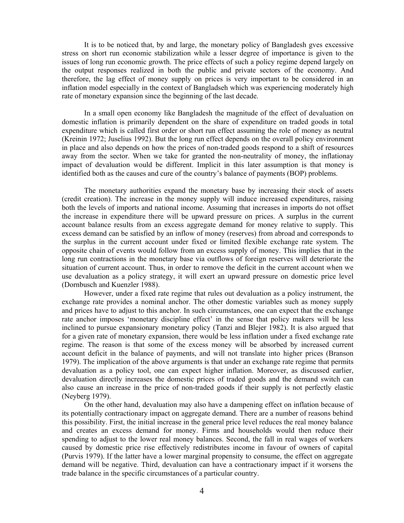It is to be noticed that, by and large, the monetary policy of Bangladesh gves excessive stress on short run economic stabilization while a lesser degree of importance is given to the issues of long run economic growth. The price effects of such a policy regime depend largely on the output responses realized in both the public and private sectors of the economy. And therefore, the lag effect of money supply on prices is very important to be considered in an inflation model especially in the context of Bangladseh which was experiencing moderately high rate of monetary expansion since the beginning of the last decade.

In a small open economy like Bangladesh the magnitude of the effect of devaluation on domestic inflation is primarily dependent on the share of expenditure on traded goods in total expenditure which is called first order or short run effect assuming the role of money as neutral (Kreinin 1972; Juselius 1992). But the long run effect depends on the overall policy environment in place and also depends on how the prices of non-traded goods respond to a shift of resources away from the sector. When we take for granted the non-neutrality of money, the inflationay impact of devaluation would be different. Implicit in this later assumption is that money is identified both as the causes and cure of the country's balance of payments (BOP) problems.

The monetary authorities expand the monetary base by increasing their stock of assets (credit creation). The increase in the money supply will induce increased expenditures, raising both the levels of imports and national income. Assuming that increases in imports do not offset the increase in expenditure there will be upward pressure on prices. A surplus in the current account balance results from an excess aggregate demand for money relative to supply. This excess demand can be satisfied by an inflow of money (reserves) from abroad and corresponds to the surplus in the current account under fixed or limited flexible exchange rate system. The opposite chain of events would follow from an excess supply of money. This implies that in the long run contractions in the monetary base via outflows of foreign reserves will deteriorate the situation of current account. Thus, in order to remove the deficit in the current account when we use devaluation as a policy strategy, it will exert an upward pressure on domestic price level (Dornbusch and Kuenzler 1988).

However, under a fixed rate regime that rules out devaluation as a policy instrument, the exchange rate provides a nominal anchor. The other domestic variables such as money supply and prices have to adjust to this anchor. In such circumstances, one can expect that the exchange rate anchor imposes 'monetary discipline effect' in the sense that policy makers will be less inclined to pursue expansionary monetary policy (Tanzi and Blejer 1982). It is also argued that for a given rate of monetary expansion, there would be less inflation under a fixed exchange rate regime. The reason is that some of the excess money will be absorbed by increased current account deficit in the balance of payments, and will not translate into higher prices (Branson 1979). The implication of the above arguments is that under an exchange rate regime that permits devaluation as a policy tool, one can expect higher inflation. Moreover, as discussed earlier, devaluation directly increases the domestic prices of traded goods and the demand switch can also cause an increase in the price of non-traded goods if their supply is not perfectly elastic (Neyberg 1979).

On the other hand, devaluation may also have a dampening effect on inflation because of its potentially contractionary impact on aggregate demand. There are a number of reasons behind this possibility. First, the initial increase in the general price level reduces the real money balance and creates an excess demand for money. Firms and households would then reduce their spending to adjust to the lower real money balances. Second, the fall in real wages of workers caused by domestic price rise effectively redistributes income in favour of owners of capital (Purvis 1979). If the latter have a lower marginal propensity to consume, the effect on aggregate demand will be negative. Third, devaluation can have a contractionary impact if it worsens the trade balance in the specific circumstances of a particular country.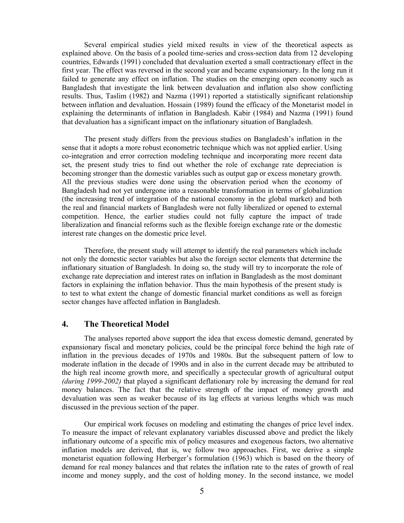Several empirical studies yield mixed results in view of the theoretical aspects as explained above. On the basis of a pooled time-series and cross-section data from 12 developing countries, Edwards (1991) concluded that devaluation exerted a small contractionary effect in the first year. The effect was reversed in the second year and became expansionary. In the long run it failed to generate any effect on inflation. The studies on the emerging open economy such as Bangladesh that investigate the link between devaluation and inflation also show conflicting results. Thus, Taslim (1982) and Nazma (1991) reported a statistically significant relationship between inflation and devaluation. Hossain (1989) found the efficacy of the Monetarist model in explaining the determinants of inflation in Bangladesh. Kabir (1984) and Nazma (1991) found that devaluation has a significant impact on the inflationary situation of Bangladesh.

The present study differs from the previous studies on Bangladesh's inflation in the sense that it adopts a more robust econometric technique which was not applied earlier. Using co-integration and error correction modeling technique and incorporating more recent data set, the present study tries to find out whether the role of exchange rate depreciation is becoming stronger than the domestic variables such as output gap or excess monetary growth. All the previous studies were done using the observation period when the economy of Bangladesh had not yet undergone into a reasonable transformation in terms of globalization (the increasing trend of integration of the national economy in the global market) and both the real and financial markets of Bangladesh were not fully liberalized or opened to external competition. Hence, the earlier studies could not fully capture the impact of trade liberalization and financial reforms such as the flexible foreign exchange rate or the domestic interest rate changes on the domestic price level.

Therefore, the present study will attempt to identify the real parameters which include not only the domestic sector variables but also the foreign sector elements that determine the inflationary situation of Bangladesh. In doing so, the study will try to incorporate the role of exchange rate depreciation and interest rates on inflation in Bangladesh as the most dominant factors in explaining the inflation behavior. Thus the main hypothesis of the present study is to test to what extent the change of domestic financial market conditions as well as foreign sector changes have affected inflation in Bangladesh.

## **4. The Theoretical Model**

The analyses reported above support the idea that excess domestic demand, generated by expansionary fiscal and monetary policies, could be the principal force behind the high rate of inflation in the previous decades of 1970s and 1980s. But the subsequent pattern of low to moderate inflation in the decade of 1990s and in also in the current decade may be attributed to the high real income growth more, and specifically a spectecular growth of agricultural output *(during 1999-2002)* that played a significant deflationary role by increasing the demand for real money balances. The fact that the relative strength of the impact of money growth and devaluation was seen as weaker because of its lag effects at various lengths which was much discussed in the previous section of the paper.

Our empirical work focuses on modeling and estimating the changes of price level index. To measure the impact of relevant explanatory variables discussed above and predict the likely inflationary outcome of a specific mix of policy measures and exogenous factors, two alternative inflation models are derived, that is, we follow two approaches. First, we derive a simple monetarist equation following Herberger's formulation (1963) which is based on the theory of demand for real money balances and that relates the inflation rate to the rates of growth of real income and money supply, and the cost of holding money. In the second instance, we model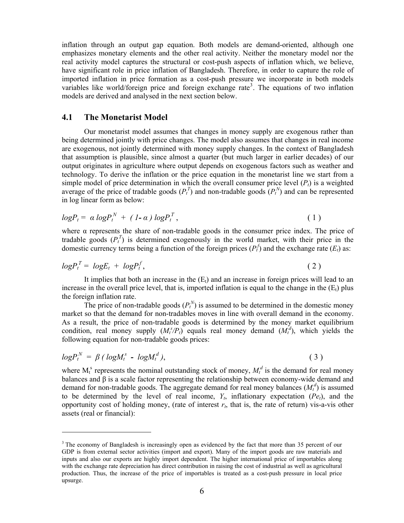inflation through an output gap equation. Both models are demand-oriented, although one emphasizes monetary elements and the other real activity. Neither the monetary model nor the real activity model captures the structural or cost-push aspects of inflation which, we believe, have significant role in price inflation of Bangladesh. Therefore, in order to capture the role of imported inflation in price formation as a cost-push pressure we incorporate in both models variables like world/foreign price and foreign exchange rate<sup>3</sup>. The equations of two inflation models are derived and analysed in the next section below.

### **4.1 The Monetarist Model**

 $\overline{a}$ 

Our monetarist model assumes that changes in money supply are exogenous rather than being determined jointly with price changes. The model also assumes that changes in real income are exogenous, not jointly determined with money supply changes. In the context of Bangladesh that assumption is plausible, since almost a quarter (but much larger in earlier decades) of our output originates in agriculture where output depends on exogenous factors such as weather and technology. To derive the inflation or the price equation in the monetarist line we start from a simple model of price determination in which the overall consumer price level  $(P_t)$  is a weighted average of the price of tradable goods  $(P_t^T)$  and non-tradable goods  $(P_t^N)$  and can be represented in log linear form as below:

$$
logP_t = \alpha logP_t^N + (1-\alpha) logP_t^T,
$$
\n(1)

where  $\alpha$  represents the share of non-tradable goods in the consumer price index. The price of tradable goods  $(P_t^T)$  is determined exogenously in the world market, with their price in the domestic currency terms being a function of the foreign prices  $(P_t^f)$  and the exchange rate  $(E_t)$  as:

$$
logP_t^T = logE_t + logP_t^f, \qquad (2)
$$

It implies that both an increase in the  $(E_t)$  and an increase in foreign prices will lead to an increase in the overall price level, that is, imported inflation is equal to the change in the  $(E_t)$  plus the foreign inflation rate.

The price of non-tradable goods  $(P_t^N)$  is assumed to be determined in the domestic money market so that the demand for non-tradables moves in line with overall demand in the economy. As a result, the price of non-tradable goods is determined by the money market equilibrium condition, real money supply  $(M_t^s/P_t)$  equals real money demand  $(M_t^d)$ , which yields the following equation for non-tradable goods prices:

$$
logP_t^N = \beta (logM_t^s - logM_t^d), \qquad (3)
$$

where  $M_t^s$  represents the nominal outstanding stock of money,  $M_t^d$  is the demand for real money balances and β is a scale factor representing the relationship between economy-wide demand and demand for non-tradable goods. The aggregate demand for real money balances  $(M_t^d)$  is assumed to be determined by the level of real income,  $Y_t$ , inflationary expectation  $(Pe_t)$ , and the opportunity cost of holding money, (rate of interest  $r_t$ , that is, the rate of return) vis-a-vis other assets (real or financial):

<sup>&</sup>lt;sup>3</sup> The economy of Bangladesh is increasingly open as evidenced by the fact that more than 35 percent of our GDP is from external sector activities (import and export). Many of the import goods are raw materials and inputs and also our exports are highly import dependent. The higher international price of importables along with the exchange rate depreciation has direct contribution in raising the cost of industrial as well as agricultural production. Thus, the increase of the price of importables is treated as a cost-push pressure in local price upsurge.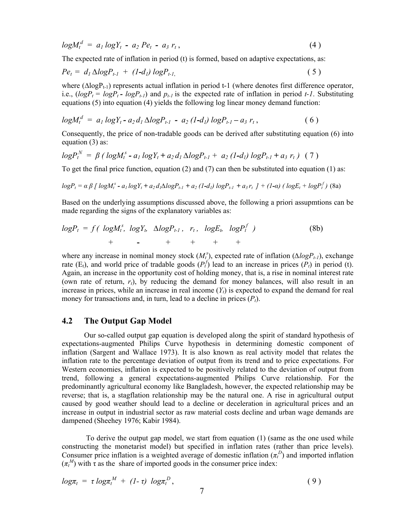$$
log M_t^d = a_1 log Y_t - a_2 Pe_t - a_3 r_t, \qquad (4)
$$

The expected rate of inflation in period (t) is formed, based on adaptive expectations, as:

$$
Pe_t = d_1 \Delta log P_{t-1} + (1-d_1) log P_{t-1}, \qquad (5)
$$

where  $(\Delta log P_{t-1})$  represents actual inflation in period t-1 (where denotes first difference operator, i.e.,  $(logP_t = logP_t - logP_{t-1})$  and  $p_{t-1}$  is the expected rate of inflation in period *t-1*. Substituting equations (5) into equation (4) yields the following log linear money demand function:

$$
logM_t^d = a_1 logY_t - a_2 d_1 \Delta logP_{t-1} - a_2 (1-d_1) logP_{t-1} - a_3 r_t, \qquad (6)
$$

Consequently, the price of non-tradable goods can be derived after substituting equation (6) into equation (3) as:

$$
logP_t^N = \beta (logM_t^s - a_1 logY_t + a_2 d_1 \Delta logP_{t-1} + a_2 (1-d_1) logP_{t-1} + a_3 r_t) (7)
$$

To get the final price function, equation (2) and (7) can then be substituted into equation (1) as:

$$
log P_t = \alpha \beta \left[ log M_t^s - a_1 log Y_t + a_2 d_1 \Delta log P_{t-1} + a_2 (1-d_1) log P_{t-1} + a_3 r_t \right] + (1-\alpha) (log E_t + log P_t^f)
$$
(8a)

Based on the underlying assumptions discussed above, the following a priori assupmtions can be made regarding the signs of the explanatory variables as:

$$
logP_t = f\left(\log M_t^s, \log Y_b \Delta log P_{t-1}, r_t, \log E_b \log P_t^f\right) + \cdot \cdot \cdot + \cdot + \cdot + \cdot \tag{8b}
$$

where any increase in nominal money stock  $(M_t^s)$ , expected rate of inflation  $(\Delta log P_{t-1})$ , exchange rate (E<sub>t</sub>), and world price of tradable goods  $(P_t^f)$  lead to an increase in prices  $(P_t)$  in period (t). Again, an increase in the opportunity cost of holding money, that is, a rise in nominal interest rate (own rate of return,  $r_t$ ), by reducing the demand for money balances, will also result in an increase in prices, while an increase in real income  $(Y_t)$  is expected to expand the demand for real money for transactions and, in turn, lead to a decline in prices  $(P_t)$ .

## **4.2 The Output Gap Model**

Our so-called output gap equation is developed along the spirit of standard hypothesis of expectations-augmented Philips Curve hypothesis in determining domestic component of inflation (Sargent and Wallace 1973). It is also known as real activity model that relates the inflation rate to the percentage deviation of output from its trend and to price expectations. For Western economies, inflation is expected to be positively related to the deviation of output from trend, following a general expectations-augmented Philips Curve relationship. For the predominantly agricultural economy like Bangladesh, however, the expected relationship may be reverse; that is, a stagflation relationship may be the natural one. A rise in agricultural output caused by good weather should lead to a decline or deceleration in agricultural prices and an increase in output in industrial sector as raw material costs decline and urban wage demands are dampened (Sheehey 1976; Kabir 1984).

 To derive the output gap model, we start from equation (1) (same as the one used while constructing the monetarist model) but specified in inflation rates (rather than price levels). Consumer price inflation is a weighted average of domestic inflation  $(\pi_t^D)$  and imported inflation  $(\pi_t^M)$  with  $\tau$  as the share of imported goods in the consumer price index:

$$
log\pi_t = \tau log\pi_t^M + (1-\tau) log\pi_t^D, \qquad (9)
$$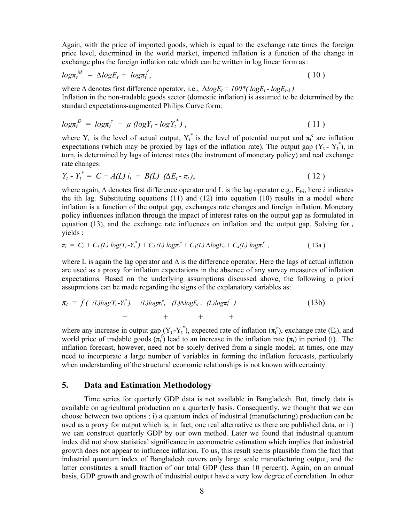Again, with the price of imported goods, which is equal to the exchange rate times the foreign price level, determined in the world market, imported inflation is a function of the change in exchange plus the foreign inflation rate which can be written in log linear form as :

$$
log\pi_t^M = \Delta log E_t + log\pi_t^f, \qquad (10)
$$

where  $\Delta$  denotes first difference operator, i.e.,  $\Delta log E_t = 100*(log E_t - log E_{t-1})$ Inflation in the non-tradable goods sector (domestic inflation) is assumed to be determined by the standard expectations-augmented Philips Curve form:

$$
log\pi_t^D = log\pi_t^e + \mu \left(logY_t - logY_t^*\right), \qquad (11)
$$

where Y<sub>t</sub> is the level of actual output, Y<sub>t</sub><sup>\*</sup> is the level of potential output and  $\pi_t^e$  are inflation expectations (which may be proxied by lags of the inflation rate). The output gap  $(Y_t - Y_t^*)$ , in turn, is determined by lags of interest rates (the instrument of monetary policy) and real exchange rate changes:

$$
Y_t - Y_t^* = C + A(L) i_t + B(L) (\Delta E_t - \pi_t), \qquad (12)
$$

where again,  $\Delta$  denotes first difference operator and L is the lag operator e.g.,  $E_{t-i}$ , here *i* indicates the ith lag. Substituting equations  $(11)$  and  $(12)$  into equation  $(10)$  results in a model where inflation is a function of the output gap, exchanges rate changes and foreign inflation. Monetary policy influences inflation through the impact of interest rates on the output gap as formulated in equation (13), and the exchange rate influences on inflation and the output gap. Solving for  $<sub>t</sub>$ </sub> yields :

$$
\pi_t = C_o + C_I(L) \log(Y_t - Y_t^*) + C_2(L) \log \pi_t^e + C_3(L) \Delta \log E_t + C_4(L) \log \pi_t^f,
$$
\n(13a)

where L is again the lag operator and ∆ is the difference operator. Here the lags of actual inflation are used as a proxy for inflation expectations in the absence of any survey measures of inflation expectations. Based on the underlying assumptions discussed above, the following a priori assupmtions can be made regarding the signs of the explanatory variables as:

$$
\pi_t = f(\text{ (L)}log(Y_t - Y_t^*), \text{ (L)}log\pi_t^e, \text{ (L)}logE_t, \text{ (L)}log\pi_t^f) + + + + + + \tag{13b}
$$

where any increase in output gap  $(Y_t - Y_t^*)$ , expected rate of inflation  $(\pi_t^e)$ , exchange rate  $(E_t)$ , and world price of tradable goods  $(\pi_t^f)$  lead to an increase in the inflation rate  $(\pi_t)$  in period (t). The inflation forecast, however, need not be solely derived from a single model; at times, one may need to incorporate a large number of variables in forming the inflation forecasts, particularly when understanding of the structural economic relationships is not known with certainty.

#### **5. Data and Estimation Methodology**

Time series for quarterly GDP data is not available in Bangladesh. But, timely data is available on agricultural production on a quarterly basis. Consequently, we thought that we can choose between two options ; i) a quantum index of industrial (manufacturing) production can be used as a proxy for output which is, in fact, one real alternative as there are published data, or ii) we can construct quarterly GDP by our own method. Later we found that industrial quantum index did not show statistical significance in econometric estimation which implies that industrial growth does not appear to influence inflation. To us, this result seems plausible from the fact that industrial quantum index of Bangladesh covers only large scale manufacturing output, and the latter constitutes a small fraction of our total GDP (less than 10 percent). Again, on an annual basis, GDP growth and growth of industrial output have a very low degree of correlation. In other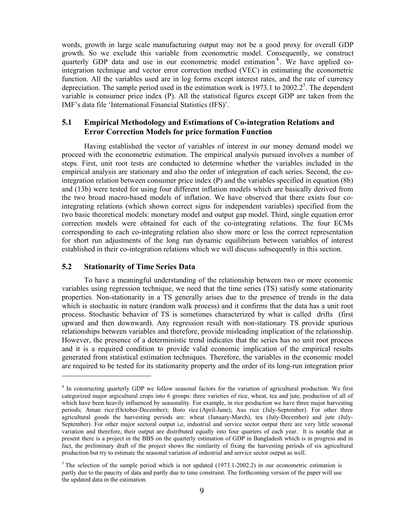words, growth in large scale manufacturing output may not be a good proxy for overall GDP growth. So we exclude this variable from econometric model. Consequently, we construct quarterly GDP data and use in our econometric model estimation<sup>4</sup>. We have applied cointegration technique and vector error correction method (VEC) in estimating the econometric function. All the variables used are in log forms except interest rates, and the rate of currency depreciation. The sample period used in the estimation work is  $1973.1$  to  $2002.2^5$ . The dependent variable is consumer price index (P). All the statistical figures except GDP are taken from the IMF's data file 'International Financial Statistics (IFS)'.

### **5.1 Empirical Methodology and Estimations of Co-integration Relations and Error Correction Models for price formation Function**

Having established the vector of variables of interest in our money demand model we proceed with the econometric estimation. The empirical analysis pursued involves a number of steps. First, unit root tests are conducted to determine whether the variables included in the empirical analysis are stationary and also the order of integration of each series. Second, the cointegration relation between consumer price index (P) and the variables specified in equation (8b) and (13b) were tested for using four different inflation models which are basically derived from the two broad macro-based models of inflation. We have observed that there exists four cointegrating relations (which shown correct signs for independent variables) specified from the two basic theoretical models: monetary model and output gap model. Third, single equation error correction models were obtained for each of the co-integrating relations. The four ECMs corresponding to each co-integrating relation also show more or less the correct representation for short run adjustments of the long run dynamic equilibrium between variables of interest established in their co-integration relations which we will discuss subsequently in this section.

#### **5.2 Stationarity of Time Series Data**

 $\overline{a}$ 

To have a meaningful understanding of the relationship between two or more economic variables using regression technique, we need that the time series (TS) satisfy some stationarity properties. Non-stationarity in a TS generally arises due to the presence of trends in the data which is stochastic in nature (random walk process) and it confirms that the data has a unit root process. Stochastic behavior of TS is sometimes characterized by what is called drifts (first upward and then downward). Any regression result with non-stationary TS provide spurious relationships between variables and therefore, provide misleading implication of the relationship. However, the presence of a deterministic trend indicates that the series has no unit root process and it is a required condition to provide valid economic implication of the empirical results generated from statistical estimation techniques. Therefore, the variables in the economic model are required to be tested for its stationarity property and the order of its long-run integration prior

<sup>&</sup>lt;sup>4</sup> In constructing quarterly GDP we follow seasonal factors for the variation of agricultural production. We first categorized major argicultural crops into 6 groups: three varieties of rice, wheat, tea and jute, production of all of which have been heavily influenced by seasonality. For example, in rice production we have three major harvesting periods; Aman rice (October-December); Boro rice (April-June); Aus rice (July-September). For other three agricultural goods the harvesting periods are: wheat (January-March), tea (July-December) and jute (July-September). For other major sectoral output i,e, industrial and service sector output there are very little seasonal variation and therefore, their output are distributed equally into four quarters of each year. It is notable that at present there is a project in the BBS on the quarterly estimation of GDP in Bangladesh which is in progress and in fact, the preliminary draft of the project shows the similarity of fixing the harvesting periods of six agricultural production but try to estimate the seasonal variation of industrial and service sector output as well.

<sup>&</sup>lt;sup>5</sup> The selection of the sample period which is not updated  $(1973.1-2002.2)$  in our econometric estimation is partly due to the paucity of data and partly due to time constraint. The forthcoming version of the paper will use the updated data in the estimation.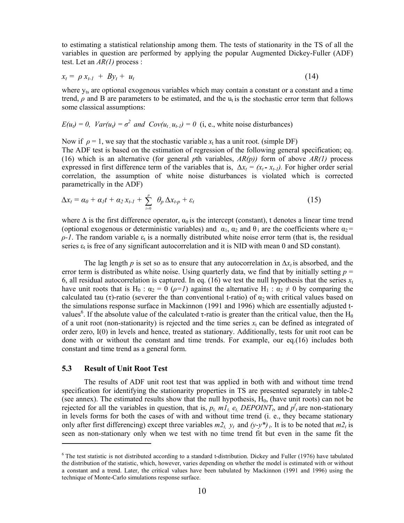to estimating a statistical relationship among them. The tests of stationarity in the TS of all the variables in question are performed by applying the popular Augmented Dickey-Fuller (ADF) test. Let an *AR(1)* process :

$$
x_t = \rho x_{t-1} + B y_t + u_t \tag{14}
$$

where  $y_{ts}$  are optional exogenous variables which may contain a constant or a constant and a time trend,  $\rho$  and B are parameters to be estimated, and the  $u_t$  is the stochastic error term that follows some classical assumptions:

$$
E(u_t) = 0
$$
,  $Var(u_t) = \sigma^2$  and  $Cov(u_t, u_{t-1}) = 0$  (i, e., white noise disturbances)

Now if  $\rho = 1$ , we say that the stochastic variable  $x_t$  has a unit root. (simple DF) The ADF test is based on the estimation of regression of the following general specification; eq. (16) which is an alternative (for general *p*th variables, *AR(p))* form of above *AR(1)* process expressed in first difference term of the variables that is,  $\Delta x_t = (x_t - x_{t-1})$ . For higher order serial correlation, the assumption of white noise disturbances is violated which is corrected parametrically in the ADF)

$$
\Delta x_t = \alpha_0 + \alpha_1 t + \alpha_2 x_{t-1} + \sum_{i=0}^p \theta_p \Delta x_{t-p} + \varepsilon_t
$$
\n(15)

where  $\Delta$  is the first difference operator,  $\alpha_0$  is the intercept (constant), t denotes a linear time trend (optional exogenous or deterministic variables) and  $\alpha_1$ ,  $\alpha_2$  and  $\theta_1$  are the coefficients where  $\alpha_2$  =  $\rho$ <sup>-1</sup>. The random variable  $\varepsilon_t$  is a normally distributed white noise error term (that is, the residual series  $\varepsilon_t$  is free of any significant autocorrelation and it is NID with mean 0 and SD constant).

The lag length *p* is set so as to ensure that any autocorrelation in  $\Delta x_t$  is absorbed, and the error term is distributed as white noise. Using quarterly data, we find that by initially setting  $p =$ 6, all residual autocorrelation is captured. In eq. (16) we test the null hypothesis that the series  $x_t$ have unit roots that is H<sub>0</sub> :  $\alpha_2 = 0$  ( $\rho = 1$ ) against the alternative H<sub>1</sub> :  $\alpha_2 \neq 0$  by comparing the calculated tau (τ)-ratio (severer the than conventional t-ratio) of  $\alpha_2$  with critical values based on the simulations response surface in Mackinnon (1991 and 1996) which are essentially adjusted tvalues<sup>6</sup>. If the absolute value of the calculated  $\tau$ -ratio is greater than the critical value, then the H<sub>0</sub> of a unit root (non-stationarity) is rejected and the time series  $x_t$  can be defined as integrated of order zero, I(0) in levels and hence, treated as stationary. Additionally, tests for unit root can be done with or without the constant and time trends. For example, our eq.(16) includes both constant and time trend as a general form.

#### **5.3 Result of Unit Root Test**

 $\overline{a}$ 

The results of ADF unit root test that was applied in both with and without time trend specification for identifying the stationarity properties in TS are presented separately in table-2 (see annex). The estimated results show that the null hypothesis,  $H<sub>0</sub>$ , (have unit roots) can not be rejected for all the variables in question, that is,  $p_t$ ,  $m_l$ ,  $e_t$ ,  $DEPOINT_t$ , and  $p_t$  are non-stationary in levels forms for both the cases of with and without time trend (i. e., they became stationary only after first differencing) except three variables  $m_1$ ,  $y_t$  and  $(y-y^*)_t$ . It is to be noted that  $m_1$  is seen as non-stationary only when we test with no time trend fit but even in the same fit the

 $6$  The test statistic is not distributed according to a standard t-distribution. Dickey and Fuller (1976) have tabulated the distribution of the statistic, which, however, varies depending on whether the model is estimated with or without a constant and a trend. Later, the critical values have been tabulated by Mackinnon (1991 and 1996) using the technique of Monte-Carlo simulations response surface.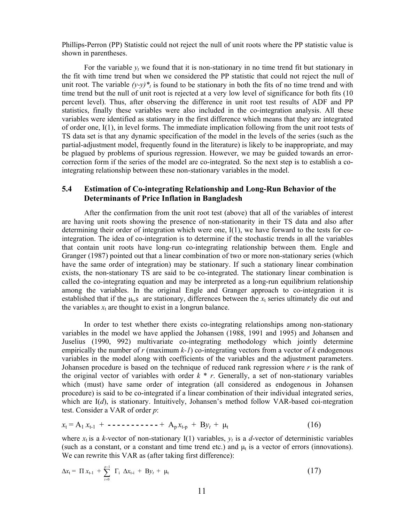Phillips-Perron (PP) Statistic could not reject the null of unit roots where the PP statistic value is shown in parentheses.

For the variable *yt* we found that it is non-stationary in no time trend fit but stationary in the fit with time trend but when we considered the PP statistic that could not reject the null of unit root. The variable  $(y-y)^*$  is found to be stationary in both the fits of no time trend and with time trend but the null of unit root is rejected at a very low level of significance for both fits (10 percent level). Thus, after observing the difference in unit root test results of ADF and PP statistics, finally these variables were also included in the co-integration analysis. All these variables were identified as stationary in the first difference which means that they are integrated of order one, I(1), in level forms. The immediate implication following from the unit root tests of TS data set is that any dynamic specification of the model in the levels of the series (such as the partial-adjustment model, frequently found in the literature) is likely to be inappropriate, and may be plagued by problems of spurious regression. However, we may be guided towards an errorcorrection form if the series of the model are co-integrated. So the next step is to establish a cointegrating relationship between these non-stationary variables in the model.

## **5.4 Estimation of Co-integrating Relationship and Long-Run Behavior of the Determinants of Price Inflation in Bangladesh**

After the confirmation from the unit root test (above) that all of the variables of interest are having unit roots showing the presence of non-stationarity in their TS data and also after determining their order of integration which were one,  $I(1)$ , we have forward to the tests for cointegration. The idea of co-integration is to determine if the stochastic trends in all the variables that contain unit roots have long-run co-integrating relationship between them. Engle and Granger (1987) pointed out that a linear combination of two or more non-stationary series (which have the same order of integration) may be stationary. If such a stationary linear combination exists, the non-stationary TS are said to be co-integrated. The stationary linear combination is called the co-integrating equation and may be interpreted as a long-run equilibrium relationship among the variables. In the original Engle and Granger approach to co-integration it is established that if the  $\mu$ <sub>t</sub>,s are stationary, differences between the  $x_t$  series ultimately die out and the variables  $x_t$  are thought to exist in a longrun balance.

In order to test whether there exists co-integrating relationships among non-stationary variables in the model we have applied the Johansen (1988, 1991 and 1995) and Johansen and Juselius (1990, 992) multivariate co-integrating methodology which jointly determine empirically the number of  $r$  (maximum  $k-1$ ) co-integrating vectors from a vector of  $k$  endogenous variables in the model along with coefficients of the variables and the adjustment parameters. Johansen procedure is based on the technique of reduced rank regression where  $r$  is the rank of the original vector of variables with order  $k * r$ . Generally, a set of non-stationary variables which (must) have same order of integration (all considered as endogenous in Johansen procedure) is said to be co-integrated if a linear combination of their individual integrated series, which are I(*d*), is stationary. Intuitively, Johansen's method follow VAR-based coi-ntegration test. Consider a VAR of order *p*:

$$
x_{t} = A_{1} x_{t-1} + \cdots + A_{p} x_{t-p} + B y_{t} + \mu_{t}
$$
 (16)

where  $x_t$  is a *k*-vector of non-stationary I(1) variables,  $y_t$  is a *d*-vector of deterministic variables (such as a constant, or a constant and time trend etc.) and  $\mu_t$  is a vector of errors (innovations). We can rewrite this VAR as (after taking first difference):

$$
\Delta x_{t} = \Pi x_{t-1} + \sum_{i=0}^{p-1} \Gamma_{i} \Delta x_{t-i} + B y_{t} + \mu_{t}
$$
\n(17)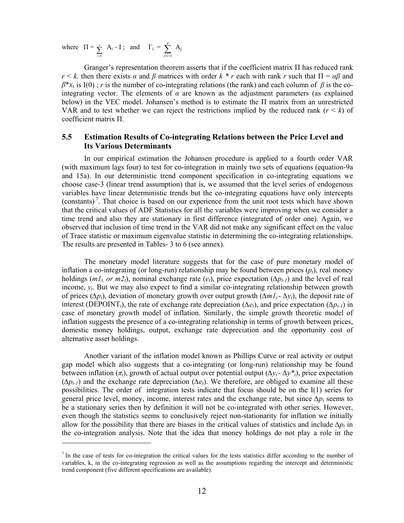where  $\Pi = \sum_{i=0}^{p}$  $\sum_{i=0}^{p}$  A<sub>i</sub> - I ; and  $\Gamma_i = \sum_{j=i+1}^{p}$ *j*=*i*+1  $A_j$ 

 $\overline{a}$ 

Granger's representation theorem asserts that if the coefficient matrix Π has reduced rank *r*  $\lt k$ , then there exists  $\alpha$  and  $\beta$  matrices with order  $k * r$  each with rank *r* such that  $\Pi = \alpha \beta$  and  $\beta^*x_t$  is I(0); *r* is the number of co-integrating relations (the rank) and each column of  $\beta$  is the cointegrating vector. The elements of  $\alpha$  are known as the adjustment parameters (as explained below) in the VEC model. Johansen's method is to estimate the Π matrix from an unrestricted VAR and to test whether we can reject the restrictions implied by the reduced rank  $(r < k)$  of coefficient matrix Π.

## **5.5 Estimation Results of Co-integrating Relations between the Price Level and Its Various Determinants**

In our empirical estimation the Johansen procedure is applied to a fourth order VAR (with maximum lags four) to test for co-integration in mainly two sets of equations (equation-9a and 15a). In our deterministic trend component specification in co-integrating equations we choose case-3 (linear trend assumption) that is, we assumed that the level series of endogenous variables have linear deterministic trends but the co-integrating equations have only intercepts (constants)<sup>7</sup>. That choice is based on our experience from the unit root tests which have shown that the critical values of ADF Statistics for all the variables were improving when we consider a time trend and also they are stationary in first difference (integrated of order one). Again, we observed that inclusion of time trend in the VAR did not make any significant effect on the value of Trace statistic or maximum eigenvalue statistic in determining the co-integrating relationships. The results are presented in Tables- 3 to 6 (see annex).

The monetary model literature suggests that for the case of pure monetary model of inflation a co-integrating (or long-run) relationship may be found between prices  $(p_t)$ , real money holdings ( $m_1$  or  $m_2$ ), nominal exchange rate ( $e_t$ ), price expectation ( $\Delta p_{t-1}$ ) and the level of real income, *yt*. But we may also expect to find a similar co-integrating relationship between growth of prices ( $\Delta p_t$ ), deviation of monetary growth over output growth ( $\Delta m_1 - \Delta v_t$ ), the deposit rate of interest (DEPOINT<sub>t</sub>), the rate of exchange rate depreciation ( $\Delta e_t$ ), and price expectation ( $\Delta p_{t-1}$ ) in case of monetary growth model of inflation. Similarly, the simple growth theoretic model of inflation suggests the presence of a co-integrating relationship in terms of growth between prices, domestic money holdings, output, exchange rate depreciation and the opportunity cost of alternative asset holdings.

Another variant of the inflation model known as Phillips Curve or real activity or output gap model which also suggests that a co-integrating (or long-run) relationship may be found between inflation ( $\pi$ <sup>*t*</sup>), growth of actual output over potential output ( $\Delta y_t$  -  $\Delta y^*$ <sup>*t*</sup>), price expectation  $(\Delta p_{t-1})$  and the exchange rate depreciation  $(\Delta e_t)$ . We therefore, are obliged to examine all these possibilities. The order of integration tests indicate that focus should be on the I(1) series for general price level, money, income, interest rates and the exchange rate, but since  $\Delta p_t$  seems to be a stationary series then by definition it will not be co-integrated with other series. However, even though the statistics seems to conclusively reject non-stationarity for inflation we initially allow for the possibility that there are biases in the critical values of statistics and include  $\Delta p_t$  in the co-integration analysis. Note that the idea that money holdings do not play a role in the

 $<sup>7</sup>$  In the case of tests for co-integration the critical values for the tests statistics differ according to the number of</sup> variables, k, in the co-integrating regression as well as the assumptions regarding the intercept and deterministic trend component (five different specifications are available).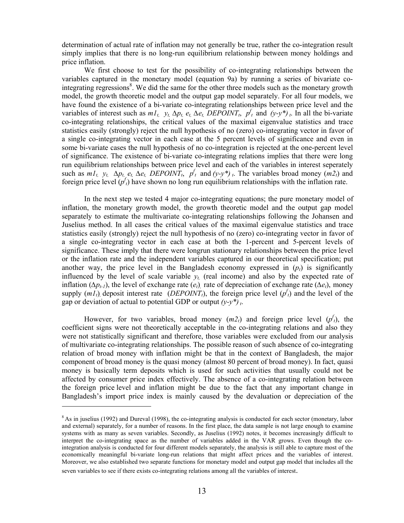determination of actual rate of inflation may not generally be true, rather the co-integration result simply implies that there is no long-run equilibrium relationship between money holdings and price inflation.

We first choose to test for the possibility of co-integrating relationships between the variables captured in the monetary model (equation 9a) by running a series of bivariate cointegrating regressions<sup>8</sup>. We did the same for the other three models such as the monetary growth model, the growth theoretic model and the output gap model separately. For all four models, we have found the existence of a bi-variate co-integrating relationships between price level and the variables of interest such as  $m_1t$ ,  $y_t$ ,  $\Delta p_t$ ,  $e_t$ ,  $\Delta e_t$ ,  $\overline{DEPOINT}_t$ ,  $p_t$ <sup>t</sup> and  $(y-y^*)_t$ . In all the bi-variate co-integrating relationships, the critical values of the maximal eigenvalue statistics and trace statistics easily (strongly) reject the null hypothesis of no (zero) co-integrating vector in favor of a single co-integrating vector in each case at the 5 percent levels of significance and even in some bi-variate cases the null hypothesis of no co-integration is rejected at the one-percent level of significance. The existence of bi-variate co-integrating relations implies that there were long run equilibrium relationships between price level and each of the variables in interest seperately such as  $m_1t$ ,  $y_t$ ,  $\Delta p_t$ ,  $e_t$ ,  $\Delta e_t$ ,  $DEPOINT_t$ ,  $p_t^f$  and  $(y-y^*)$ , The variables broad money  $(m_2^f)$  and foreign price level  $(p<sup>t</sup><sub>t</sub>)$  have shown no long run equilibrium relationships with the inflation rate.

In the next step we tested 4 major co-integrating equations; the pure monetary model of inflation, the monetary growth model, the growth theoretic model and the output gap model separately to estimate the multivariate co-integrating relationships following the Johansen and Juselius method. In all cases the critical values of the maximal eigenvalue statistics and trace statistics easily (strongly) reject the null hypothesis of no (zero) co-integrating vector in favor of a single co-integrating vector in each case at both the 1-percent and 5-percent levels of significance. These imply that there were longrun stationary relationships between the price level or the inflation rate and the independent variables captured in our theoretical specification; put another way, the price level in the Bangladesh economy expressed in  $(p_t)$  is significantly influenced by the level of scale variable  $y_t$  (real income) and also by the expected rate of inflation ( $\Delta p_{t-1}$ ), the level of exchange rate (*e<sub>t</sub>*) rate of depreciation of exchange rate ( $\Delta e_t$ ), money supply  $(m_1 t)$ , deposit interest rate (*DEPOINT<sub>t</sub>*), the foreign price level ( $p_t$ ) and the level of the gap or deviation of actual to potential GDP or output  $(y-y^*)$ .

However, for two variables, broad money  $(m_2t)$  and foreign price level  $(p<sup>t</sup>)$ , the coefficient signs were not theoretically acceptable in the co-integrating relations and also they were not statistically significant and therefore, those variables were excluded from our analysis of multivariate co-integrating relationships. The possible reason of such absence of co-integrating relation of broad money with inflation might be that in the context of Bangladesh, the major component of broad money is the quasi money (almost 80 percent of broad money). In fact, quasi money is basically term deposits which is used for such activities that usually could not be affected by consumer price index effectively. The absence of a co-integrating relation between the foreign price level and inflation might be due to the fact that any important change in Bangladesh's import price index is mainly caused by the devaluation or depreciation of the

 $\overline{a}$ 

 $8$ As in juselius (1992) and Dureval (1998), the co-integrating analysis is conducted for each sector (monetary, labor and external) separately, for a number of reasons. In the first place, the data sample is not large enough to examine systems with as many as seven variables. Secondly, as Juselius (1992) notes, it becomes increasingly difficult to interpret the co-integrating space as the number of variables added in the VAR grows. Even though the cointegration analysis is conducted for four different models separately, the analysis is still able to capture most of the economically meaningful bi-variate long-run relations that might affect prices and the variables of interest. Moreover, we also established two separate functions for monetary model and output gap model that includes all the seven variables to see if there exists co-integrating relations among all the variables of interest.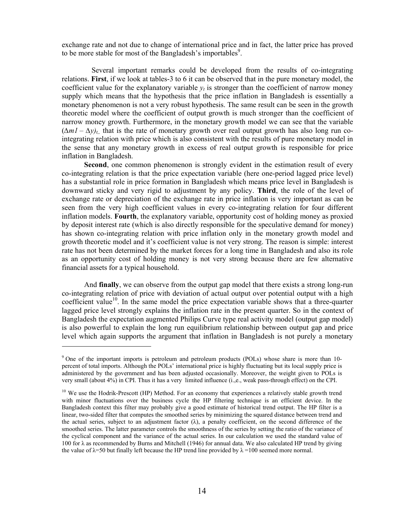exchange rate and not due to change of international price and in fact, the latter price has proved to be more stable for most of the Bangladesh's importables<sup>9</sup>.

 Several important remarks could be developed from the results of co-integrating relations. **First**, if we look at tables-3 to 6 it can be observed that in the pure monetary model, the coefficient value for the explanatory variable  $v_t$  is stronger than the coefficient of narrow money supply which means that the hypothesis that the price inflation in Bangladesh is essentially a monetary phenomenon is not a very robust hypothesis. The same result can be seen in the growth theoretic model where the coefficient of output growth is much stronger than the coefficient of narrow money growth. Furthermore, in the monetary growth model we can see that the variable  $(\Delta mI - \Delta y)_{t_i}$ , that is the rate of monetary growth over real output growth has also long run cointegrating relation with price which is also consistent with the results of pure monetary model in the sense that any monetary growth in excess of real output growth is responsible for price inflation in Bangladesh.

**Second**, one common phenomenon is strongly evident in the estimation result of every co-integrating relation is that the price expectation variable (here one-period lagged price level) has a substantial role in price formation in Bangladesh which means price level in Bangladesh is downward sticky and very rigid to adjustment by any policy. **Third**, the role of the level of exchange rate or depreciation of the exchange rate in price inflation is very important as can be seen from the very high coefficient values in every co-integrating relation for four different inflation models. **Fourth**, the explanatory variable, opportunity cost of holding money as proxied by deposit interest rate (which is also directly responsible for the speculative demand for money) has shown co-integrating relation with price inflation only in the monetary growth model and growth theoretic model and it's coefficient value is not very strong. The reason is simple: interest rate has not been determined by the market forces for a long time in Bangladesh and also its role as an opportunity cost of holding money is not very strong because there are few alternative financial assets for a typical household.

And **finally**, we can observe from the output gap model that there exists a strong long-run co-integrating relation of price with deviation of actual output over potential output with a high coefficient value<sup>10</sup>. In the same model the price expectation variable shows that a three-quarter lagged price level strongly explains the inflation rate in the present quarter. So in the context of Bangladesh the expectation augmented Philips Curve type real activity model (output gap model) is also powerful to explain the long run equilibrium relationship between output gap and price level which again supports the argument that inflation in Bangladesh is not purely a monetary

 $\overline{a}$ 

<sup>&</sup>lt;sup>9</sup> One of the important imports is petroleum and petroleum products (POLs) whose share is more than 10percent of total imports. Although the POLs' international price is highly fluctuating but its local supply price is administered by the government and has been adjusted occasionally. Moreover, the weight given to POLs is very small (about 4%) in CPI. Thus it has a very limited influence (i.,e., weak pass-through effect) on the CPI.

 $10$  We use the Hodrik-Prescott (HP) Method. For an economy that experiences a relatively stable growth trend with minor fluctuations over the business cycle the HP filtering technique is an efficient device. In the Bangladesh context this filter may probably give a good estimate of historical trend output. The HP filter is a linear, two-sided filter that computes the smoothed series by minimizing the squared distance between trend and the actual series, subject to an adjustment factor  $(\lambda)$ , a penalty coefficient, on the second difference of the smoothed series. The latter parameter controls the smoothness of the series by setting the ratio of the variance of the cyclical component and the variance of the actual series. In our calculation we used the standard value of 100 for λ as recommended by Burns and Mitchell (1946) for annual data. We also calculated HP trend by giving the value of  $\lambda$ =50 but finally left because the HP trend line provided by  $\lambda$ =100 seemed more normal.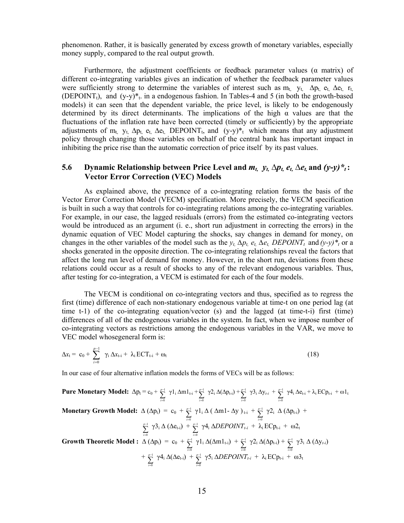phenomenon. Rather, it is basically generated by excess growth of monetary variables, especially money supply, compared to the real output growth.

Furthermore, the adjustment coefficients or feedback parameter values ( $\alpha$  matrix) of different co-integrating variables gives an indication of whether the feedback parameter values were sufficiently strong to determine the variables of interest such as  $m_t$ ,  $y_t$ ,  $\Delta p_t$ ,  $e_t$ ,  $\Delta e_t$ ,  $r_t$ , (DEPOINT<sub>t</sub>), and  $(y-y)^*$ <sub>t</sub>. in a endogenous fashion. In Tables-4 and 5 (in both the growth-based models) it can seen that the dependent variable, the price level, is likely to be endogenously determined by its direct determinants. The implications of the high  $\alpha$  values are that the fluctuations of the inflation rate have been corrected (timely or sufficiently) by the appropriate adjustments of m<sub>t,</sub> y<sub>t,</sub>  $\Delta p_t$ , e<sub>t,</sub>  $\Delta e_t$ , DEPOINT<sub>t</sub>, and  $(y-y)^*$ <sub>t</sub> which means that any adjustment policy through changing those variables on behalf of the central bank has important impact in inhibiting the price rise than the automatic correction of price itself by its past values.

### **5.6 Dynamic Relationship between Price Level and**  $m_t$ **,**  $y_t$ **,**  $\Delta p_t$ **,**  $e_t$ **,**  $\Delta e_t$ **, and**  $(y-y) *_{t}$ **:** **Vector Error Correction (VEC) Models**

As explained above, the presence of a co-integrating relation forms the basis of the Vector Error Correction Model (VECM) specification. More precisely, the VECM specification is built in such a way that controls for co-integrating relations among the co-integrating variables. For example, in our case, the lagged residuals (errors) from the estimated co-integrating vectors would be introduced as an argument (i. e., short run adjustment in correcting the errors) in the dynamic equation of VEC Model capturing the shocks, say changes in demand for money, on changes in the other variables of the model such as the  $y_t$ ,  $\Delta p_t$ ,  $e_t$ ,  $\Delta e_t$ ,  $DEPOINT_t$  and  $(y-y)^*$ <sub>t</sub> or a shocks generated in the opposite direction. The co-integrating relationships reveal the factors that affect the long run level of demand for money. However, in the short run, deviations from these relations could occur as a result of shocks to any of the relevant endogenous variables. Thus, after testing for co-integration, a VECM is estimated for each of the four models.

The VECM is conditional on co-integrating vectors and thus, specified as to regress the first (time) difference of each non-stationary endogenous variable at time-t on one period lag (at time t-1) of the co-integrating equation/vector (s) and the lagged (at time-t-i) first (time) differences of all of the endogenous variables in the system. In fact, when we impose number of co-integrating vectors as restrictions among the endogenous variables in the VAR, we move to VEC model whosegeneral form is:

$$
\Delta x_{t} = c_{0} + \sum_{i=0}^{p-1} \gamma_{i} \Delta x_{t-i} + \lambda_{i} ECT_{t-i} + \omega_{t}
$$
\n(18)

In our case of four alternative inflation models the forms of VECs will be as follows:

**Pure Monetary Model:** 
$$
\Delta p_t = c_0 + \sum_{i=0}^{p-1} \gamma l_i \Delta m l_{t-i} + \sum_{i=0}^{p-1} \gamma 2_i \Delta(\Delta p_{t-i}) + \sum_{i=0}^{p-1} \gamma 3_i \Delta y_{t-i} + \sum_{i=0}^{p-1} \gamma 4_i \Delta e_{t-i} + \lambda_i E C p_{t-i} + \omega l_t
$$
  
\n**Monetary Growth Model:**  $\Delta (\Delta p_t) = c_0 + \sum_{i=0}^{p-1} \gamma 1_i \Delta (\Delta m l - \Delta y)_{t-i} + \sum_{i=0}^{p-1} \gamma 2_i \Delta (\Delta p_{t-i}) + \sum_{i=0}^{p-1} \gamma 3_i \Delta (\Delta e_{t-i}) + \sum_{i=0}^{p-1} \gamma 4_i \Delta DEPOINT_{t-i} + \lambda_i E C p_{t-i} + \omega 2_t$   
\n**Growth Theoretic Model :**  $\Delta (\Delta p_t) = c_0 + \sum_{i=0}^{p-1} \gamma 1_i \Delta(\Delta m l_{t-i}) + \sum_{i=0}^{p-1} \gamma 2_i \Delta(\Delta p_{t-i}) + \sum_{i=0}^{p-1} \gamma 3_i \Delta (\Delta y_{t-i}) + \sum_{i=0}^{p-1} \gamma 4_i \Delta(\Delta e_{t-i}) + \sum_{i=0}^{p-1} \gamma 5_i \Delta DEPOINT_{t-i} + \lambda_i E C p_{t-i} + \omega 3_t$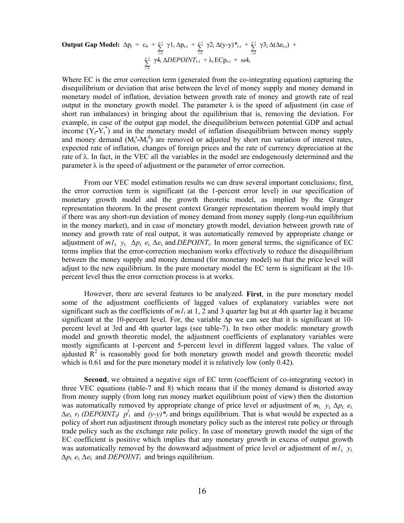**Output Gap Model:** 
$$
\Delta p_t = c_0 + \sum_{i=0}^{p-1} \gamma 1_i \Delta p_{t-i} + \sum_{i=0}^{p-1} \gamma 2_i \Delta (y-y)^*_{t-i} + \sum_{i=0}^{p-1} \gamma 3_i \Delta (\Delta e_{t-i}) + \sum_{i=0}^{p-1} \gamma 4_i \Delta DEPOINT_{t-i} + \lambda_i ECp_{t-i} + \omega 4_t
$$

Where EC is the error correction term (generated from the co-integrating equation) capturing the disequilibrium or deviation that arise between the level of money supply and money demand in monetary model of inflation, deviation between growth rate of money and growth rate of real output in the monetary growth model. The parameter  $\lambda$  is the speed of adjustment (in case of short run imbalances) in bringing about the equilibrium that is, removing the deviation. For example, in case of the output gap model, the disequilibrium between potential GDP and actual income  $(Y_t - Y_t^*)$  and in the monetary model of inflation disequilibrium between money supply and money demand  $(M_t^s-M_t^d)$  are removed or adjusted by short run variation of interest rates, expected rate of inflation, changes of foreign prices and the rate of currency depreciation at the rate of  $\lambda$ . In fact, in the VEC all the variables in the model are endogenously determined and the parameter  $\lambda$  is the speed of adjustment or the parameter of error correction.

From our VEC model estimation results we can draw several important conclusions; first, the error correction term is significant (at the 1-percent error level) in our specification of monetary growth model and the growth theoretic model, as implied by the Granger representation theorem. In the present context Granger representation theorem would imply that if there was any short-run deviation of money demand from money supply (long-run equilibrium in the money market), and in case of monetary growth model, deviation between growth rate of money and growth rate of real output, it was automatically removed by appropriate change or adjustment of  $m_1$ ,  $y_t$ ,  $\Delta p_t$ ,  $e_t$ ,  $\Delta e_t$ , and *DEPOINT<sub>t</sub>*. In more general terms, the significance of EC terms implies that the error-correction mechanism works effectively to reduce the disequilibrium between the money supply and money demand (for monetary model) so that the price level will adjust to the new equilibrium. In the pure monetary model the EC term is significant at the 10 percent level thus the error correction process is at works.

However, there are several features to be analyzed. **First**, in the pure monetary model some of the adjustment coefficients of lagged values of explanatory variables were not significant such as the coefficients of  $m_l$  at 1, 2 and 3 quarter lag but at 4th quarter lag it became significant at the 10-percent level. For, the variable ∆p we can see that it is significant at 10 percent level at 3rd and 4th quarter lags (see table-7). In two other models: monetary growth model and growth theoretic model, the adjustment coefficients of explanatory variables were mostly significants at 1-percent and 5-percent level in different lagged values. The value of ajdusted  $\overline{R}^2$  is reasonably good for both monetary growth model and growth theoretic model which is 0.61 and for the pure monetary model it is relatively low (only 0.42).

**Second**, we obtained a negative sign of EC term (coefficient of co-integrating vector) in three VEC equations (table-7 and 8) which means that if the money demand is distorted away from money supply (from long run money market equilibrium point of view) then the distortion was automatically removed by appropriate change of price level or adjustment of *mt, yt, ∆pt, et,*  $\Delta e_t$ ,  $r_t$  (*DEPOINT<sub>t</sub>*)  $p_t$ <sup>*t*</sup> and  $(y-y)^*$ <sub>*t*</sub></sub> and brings equilibrium. That is what would be expected as a policy of short run adjustment through monetary policy such as the interest rate policy or through trade policy such as the exchange rate policy. In case of monetary growth model the sign of the EC coefficient is positive which implies that any monetary growth in excess of output growth was automatically removed by the downward adjustment of price level or adjustment of *m1t, yt,*  $\Delta p_t$ ,  $e_t$ ,  $\Delta e_t$ , and *DEPOINT<sub>t</sub>* and brings equilibrium.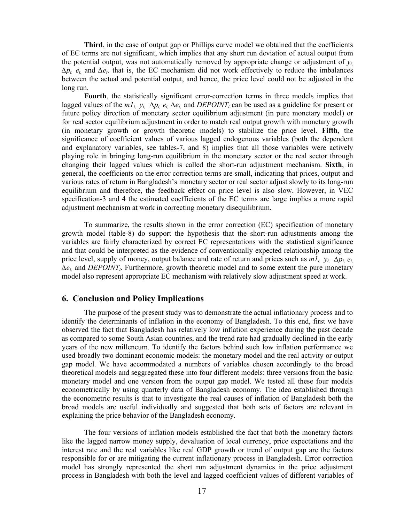**Third**, in the case of output gap or Phillips curve model we obtained that the coefficients of EC terms are not significant, which implies that any short run deviation of actual output from the potential output, was not automatically removed by appropriate change or adjustment of  $y_t$ *∆pt, et,* and *∆et*. that is, the EC mechanism did not work effectively to reduce the imbalances between the actual and potential output, and hence, the price level could not be adjusted in the long run.

**Fourth**, the statistically significant error-correction terms in three models implies that lagged values of the  $m_1t$ ,  $y_t$ ,  $\Delta p_t$ ,  $e_t$ ,  $\Delta e_t$ , and  $DEPOINT_t$  can be used as a guideline for present or future policy direction of monetary sector equilibrium adjustment (in pure monetary model) or for real sector equilibrium adjustment in order to match real output growth with monetary growth (in monetary growth or growth theoretic models) to stabilize the price level. **Fifth**, the significance of coefficient values of various lagged endogenous variables (both the dependent and explanatory variables, see tables-7, and 8) implies that all those variables were actively playing role in bringing long-run equilibrium in the monetary sector or the real sector through changing their lagged values which is called the short-run adjustment mechanism. **Sixth**, in general, the coefficients on the error correction terms are small, indicating that prices, output and various rates of return in Bangladesh's monetary sector or real sector adjust slowly to its long-run equilibrium and therefore, the feedback effect on price level is also slow. However, in VEC specification-3 and 4 the estimated coefficients of the EC terms are large implies a more rapid adjustment mechanism at work in correcting monetary disequilibrium.

To summarize, the results shown in the error correction (EC) specification of monetary growth model (table-8) do support the hypothesis that the short-run adjustments among the variables are fairly characterized by correct EC representations with the statistical significance and that could be interpreted as the evidence of conventionally expected relationship among the price level, supply of money, output balance and rate of return and prices such as  $m_1 t$ ,  $y_t$ ,  $\Delta p_t$ ,  $e_t$  $Δe<sub>t</sub>$ , and *DEPOINT*<sub>t</sub>. Furthermore, growth theoretic model and to some extent the pure monetary model also represent appropriate EC mechanism with relatively slow adjustment speed at work.

### **6. Conclusion and Policy Implications**

The purpose of the present study was to demonstrate the actual inflationary process and to identify the determinants of inflation in the economy of Bangladesh. To this end, first we have observed the fact that Bangladesh has relatively low inflation experience during the past decade as compared to some South Asian countries, and the trend rate had gradually declined in the early years of the new milleneum. To identify the factors behind such low inflation performance we used broadly two dominant economic models: the monetary model and the real activity or output gap model. We have accommodated a numbers of variables chosen accordingly to the broad theoretical models and seggregated these into four different models: three versions from the basic monetary model and one version from the output gap model. We tested all these four models econometrically by using quarterly data of Bangladesh economy. The idea established through the econometric results is that to investigate the real causes of inflation of Bangladesh both the broad models are useful individually and suggested that both sets of factors are relevant in explaining the price behavior of the Bangladesh economy.

The four versions of inflation models established the fact that both the monetary factors like the lagged narrow money supply, devaluation of local currency, price expectations and the interest rate and the real variables like real GDP growth or trend of output gap are the factors responsible for or are mitigating the current inflationary process in Bangladesh. Error correction model has strongly represented the short run adjustment dynamics in the price adjustment process in Bangladesh with both the level and lagged coefficient values of different variables of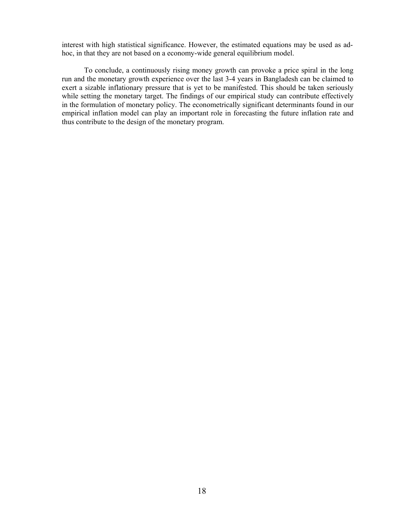interest with high statistical significance. However, the estimated equations may be used as adhoc, in that they are not based on a economy-wide general equilibrium model.

To conclude, a continuously rising money growth can provoke a price spiral in the long run and the monetary growth experience over the last 3-4 years in Bangladesh can be claimed to exert a sizable inflationary pressure that is yet to be manifested. This should be taken seriously while setting the monetary target. The findings of our empirical study can contribute effectively in the formulation of monetary policy. The econometrically significant determinants found in our empirical inflation model can play an important role in forecasting the future inflation rate and thus contribute to the design of the monetary program.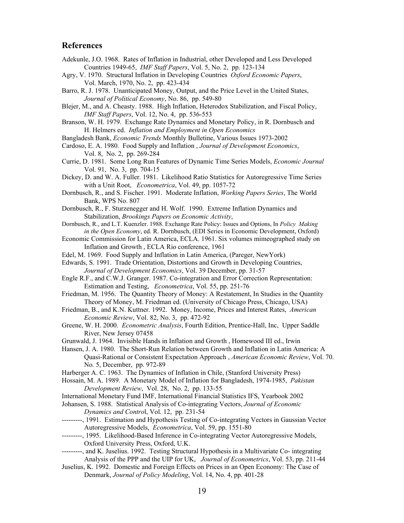#### **References**

- Adekunle, J.O. 1968. Rates of Inflation in Industrial, other Developed and Less Developed Countries 1949-65, *IMF Staff Papers*, Vol. 5, No. 2, pp. 123-134
- Agry, V. 1970. Structural Inflation in Developing Countries *Oxford Economic Papers*, Vol. March, 1970, No. 2, pp. 423-434
- Barro, R. J. 1978. Unanticipated Money, Output, and the Price Level in the United States, *Journal of Political Economy*, No. 86, pp. 549-80
- Blejer, M., and A. Cheasty. 1988. High Inflation, Heterodox Stabilization, and Fiscal Policy, *IMF Staff Papers*, Vol. 12, No. 4, pp. 536-553
- Branson, W. H. 1979. Exchange Rate Dynamics and Monetary Policy, in R. Dornbusch and H. Helmers ed. *Inflation and Employment in Open Economics*
- Bangladesh Bank, *Economic Trends* Monthly Bulletine, Various Issues 1973-2002
- Cardoso, E. A. 1980. Food Supply and Inflation , *Journal of Development Economics*, Vol. 8, No. 2, pp. 269-284
- Currie, D. 1981. Some Long Run Features of Dynamic Time Series Models, *Economic Journal* Vol. 91, No. 3, pp. 704-15
- Dickey, D. and W. A. Fuller. 1981. Likelihood Ratio Statistics for Autoregressive Time Series with a Unit Root, *Econometrica*, Vol. 49, pp. 1057-72
- Dornbusch, R., and S. Fischer. 1991. Moderate Inflation, *Working Papers Series*, The World Bank, WPS No. 807
- Dornbusch, R., F. Sturzenegger and H. Wolf. 1990. Extreme Inflation Dynamics and Stabilization, *Brookings Papers on Economic Activity*,
- Dornbusch, R., and L.T. Kuenzler. 1988. Exchange Rate Policy: Issues and Options, In *Policy Making in the Open Economy*, ed. R. Dornbusch, (EDI Series in Economic Development, Oxford)
- Economic Commission for Latin America, ECLA. 1961. Six volumes mimeographed study on Inflation and Growth , ECLA Rio conference, 1961
- Edel, M. 1969. Food Supply and Inflation in Latin America, (Pareger, NewYork)
- Edwards, S. 1991. Trade Orientation, Distortions and Growth in Developing Countries, *Journal of Development Economics*, Vol. 39 December, pp. 31-57
- Engle R.F., and C.W.J. Granger. 1987. Co-integration and Error Correction Representation: Estimation and Testing, *Econometrica*, Vol. 55, pp. 251-76
- Friedman, M. 1956. The Quantity Theory of Money: A Restatement, In Studies in the Quantity Theory of Money, M. Friedman ed. (University of Chicago Press, Chicago, USA)
- Friedman, B., and K.N. Kuttner. 1992. Money, Income, Prices and Interest Rates, *American Economic Review*, Vol. 82, No. 3, pp. 472-92
- Greene, W. H. 2000. *Econometric Analysis*, Fourth Edition, Prentice-Hall, Inc, Upper Saddle River, New Jersey 07458
- Grunwald, J. 1964. Invisible Hands in Inflation and Growth , Homewood III ed., Irwin
- Hansen, J. A. 1980. The Short-Run Relation between Growth and Inflation in Latin America: A Quasi-Rational or Consistent Expectation Approach , *American Economic Review*, Vol. 70. No. 5, December, pp. 972-89
- Harberger A. C. 1963. The Dynamics of Inflation in Chile, (Stanford University Press)
- Hossain, M. A. 1989. A Monetary Model of Inflation for Bangladesh, 1974-1985, *Pakistan Development Review*, Vol. 28, No. 2, pp. 133-55
- International Monetary Fund IMF, International Financial Statistics IFS, Yearbook 2002
- Johansen, S. 1988. Statistical Analysis of Co-integrating Vectors, *Journal of Economic Dynamics and Contro*l, Vol. 12, pp. 231-54
- ---------, 1991. Estimation and Hypothesis Testing of Co-integrating Vectors in Gaussian Vector Autoregressive Models, *Econometrica*, Vol. 59, pp. 1551-80
- ---------, 1995. Likelihood-Based Inference in Co-integrating Vector Autoregressive Models, Oxford University Press, Oxford, U.K.
- ---------, and K. Juselius. 1992. Testing Structural Hypothesis in a Multivariate Co- integrating Analysis of the PPP and the UIP for UK, *Journal of Econometrics*, Vol. 53, pp. 211-44
- Juselius, K. 1992. Domestic and Foreign Effects on Prices in an Open Economy: The Case of Denmark, *Journal of Policy Modeling*, Vol. 14, No. 4, pp. 401-28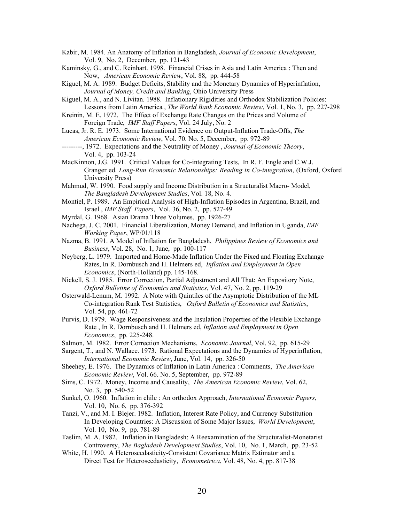- Kabir, M. 1984. An Anatomy of Inflation in Bangladesh, *Journal of Economic Development*, Vol. 9, No. 2, December, pp. 121-43
- Kaminsky, G., and C. Reinhart. 1998. Financial Crises in Asia and Latin America : Then and Now, *American Economic Review*, Vol. 88, pp. 444-58
- Kiguel, M. A. 1989. Budget Deficits, Stability and the Monetary Dynamics of Hyperinflation, *Journal of Money, Credit and Banking*, Ohio University Press
- Kiguel, M. A., and N. Livitan. 1988. Inflationary Rigidities and Orthodox Stabilization Policies: Lessons from Latin America , *The World Bank Economic Review*, Vol. 1, No. 3, pp. 227-298
- Kreinin, M. E. 1972. The Effect of Exchange Rate Changes on the Prices and Volume of Foreign Trade, *IMF Staff Papers*, Vol. 24 July, No. 2
- Lucas, Jr. R. E. 1973. Some International Evidence on Output-Inflation Trade-Offs, *The American Economic Review*, Vol. 70. No. 5, December, pp. 972-89
- ---------, 1972. Expectations and the Neutrality of Money , *Journal of Economic Theory*, Vol. 4, pp. 103-24
- MacKinnon, J.G. 1991. Critical Values for Co-integrating Tests, In R. F. Engle and C.W.J. Granger ed. *Long-Run Economic Relationships: Reading in Co-integration*, (Oxford, Oxford University Press)
- Mahmud, W. 1990. Food supply and Income Distribution in a Structuralist Macro- Model, *The Bangladesh Development Studies*, Vol. 18, No. 4.
- Montiel, P. 1989. An Empirical Analysis of High-Inflation Episodes in Argentina, Brazil, and Israel , *IMF Staff Papers*, Vol. 36, No. 2, pp. 527-49
- Myrdal, G. 1968. Asian Drama Three Volumes, pp. 1926-27

Nachega, J. C. 2001. Financial Liberalization, Money Demand, and Inflation in Uganda, *IMF Working Paper*, WP/01/118

- Nazma, B. 1991. A Model of Inflation for Bangladesh, *Philippines Review of Economics and Business*, Vol. 28, No. 1, June, pp. 100-117
- Neyberg, L. 1979. Imported and Home-Made Inflation Under the Fixed and Floating Exchange Rates, In R. Dornbusch and H. Helmers ed, *Inflation and Employment in Open Economics*, (North-Holland) pp. 145-168.
- Nickell, S. J. 1985. Error Correction, Partial Adjustment and All That: An Expository Note, *Oxford Bulletine of Economics and Statistics*, Vol. 47, No. 2, pp. 119-29
- Osterwald-Lenum, M. 1992. A Note with Quintiles of the Asymptotic Distribution of the ML Co-integration Rank Test Statistics, *Oxford Bulletin of Economics and Statistics*, Vol. 54, pp. 461-72
- Purvis, D. 1979. Wage Responsiveness and the Insulation Properties of the Flexible Exchange Rate , In R. Dornbusch and H. Helmers ed, *Inflation and Employment in Open Economics*, pp. 225-248.
- Salmon, M. 1982. Error Correction Mechanisms, *Economic Journal*, Vol. 92, pp. 615-29
- Sargent, T., and N. Wallace. 1973. Rational Expectations and the Dynamics of Hyperinflation, *International Economic Review*, June, Vol. 14, pp. 326-50
- Sheehey, E. 1976. The Dynamics of Inflation in Latin America : Comments, *The American Economic Review*, Vol. 66. No. 5, September, pp. 972-89
- Sims, C. 1972. Money, Income and Causality, *The American Economic Review*, Vol. 62, No. 3, pp. 540-52
- Sunkel, O. 1960. Inflation in chile : An orthodox Approach, *International Economic Papers*, Vol. 10, No. 6, pp. 376-392
- Tanzi, V., and M. I. Blejer. 1982. Inflation, Interest Rate Policy, and Currency Substitution In Developing Countries: A Discussion of Some Major Issues, *World Development*, Vol. 10, No. 9, pp. 781-89
- Taslim, M. A. 1982. Inflation in Bangladesh: A Reexamination of the Structuralist-Monetarist Controversy, *The Bagladesh Development Studies*, Vol. 10, No. 1, March, pp. 23-52
- White, H. 1990. A Heteroscedasticity-Consistent Covariance Matrix Estimator and a Direct Test for Heteroscedasticity, *Econometrica*, Vol. 48, No. 4, pp. 817-38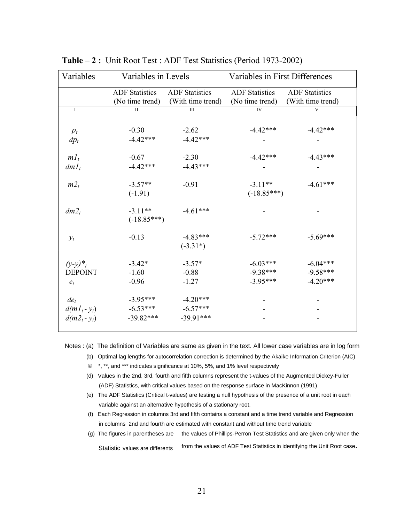| Variables       | Variables in Levels   |                       | Variables in First Differences |                       |  |
|-----------------|-----------------------|-----------------------|--------------------------------|-----------------------|--|
|                 | <b>ADF</b> Statistics | <b>ADF</b> Statistics | <b>ADF</b> Statistics          | <b>ADF</b> Statistics |  |
|                 | (No time trend)       | (With time trend)     | (No time trend)                | (With time trend)     |  |
| $\mathbf I$     | $\mathbf{I}$          | III                   | IV                             | $\mathbf{V}$          |  |
|                 |                       |                       |                                |                       |  |
| $p_t$           | $-0.30$               | $-2.62$               | $-4.42***$                     | $-4.42***$            |  |
| $dp_t$          | $-4.42***$            | $-4.42***$            |                                |                       |  |
|                 |                       |                       |                                |                       |  |
| $m_l$           | $-0.67$               | $-2.30$               | $-4.42***$                     | $-4.43***$            |  |
| $dml_t$         | $-4.42***$            | $-4.43***$            |                                |                       |  |
|                 |                       |                       |                                |                       |  |
| $m2_t$          | $-3.57**$             | $-0.91$               | $-3.11**$                      | $-4.61***$            |  |
|                 | $(-1.91)$             |                       | $(-18.85***)$                  |                       |  |
| $dm2_t$         | $-3.11**$             | $-4.61***$            |                                |                       |  |
|                 | $(-18.85***)$         |                       |                                |                       |  |
| $y_t$           | $-0.13$               | $-4.83***$            | $-5.72***$                     | $-5.69***$            |  |
|                 |                       | $(-3.31*)$            |                                |                       |  |
|                 |                       |                       |                                |                       |  |
| $(y-y)^{*}_{t}$ | $-3.42*$              | $-3.57*$              | $-6.03***$                     | $-6.04***$            |  |
| <b>DEPOINT</b>  | $-1.60$               | $-0.88$               | $-9.38***$                     | $-9.58***$            |  |
| $e_t$           | $-0.96$               | $-1.27$               | $-3.95***$                     | $-4.20***$            |  |
|                 |                       |                       |                                |                       |  |
| de <sub>t</sub> | $-3.95***$            | $-4.20***$            |                                |                       |  |
| $d(ml_t - y_t)$ | $-6.53***$            | $-6.57***$            |                                |                       |  |
| $d(m_1 - y_t)$  | $-39.82***$           | $-39.91***$           |                                |                       |  |
|                 |                       |                       |                                |                       |  |

**Table – 2 :** Unit Root Test : ADF Test Statistics (Period 1973-2002)

Notes : (a) The definition of Variables are same as given in the text. All lower case variables are in log form

- (b) Optimal lag lengths for autocorrelation correction is determined by the Akaike Information Criterion (AIC)
- © \*, \*\*, and \*\*\* indicates significance at 10%, 5%, and 1% level respectively
- (d) Values in the 2nd, 3rd, fourth and fifth columns represent the t-values of the Augmented Dickey-Fuller (ADF) Statistics, with critical values based on the response surface in MacKinnon (1991).
- (e) The ADF Statistics (Critical t-values) are testing a null hypothesis of the presence of a unit root in each variable against an alternative hypothesis of a stationary root.
- (f) Each Regression in columns 3rd and fifth contains a constant and a time trend variable and Regression in columns 2nd and fourth are estimated with constant and without time trend variable
- (g) The figures in parentheses are the values of Phillips-Perron Test Statistics and are given only when the Statistic values are differents from the values of ADF Test Statistics in identifying the Unit Root case.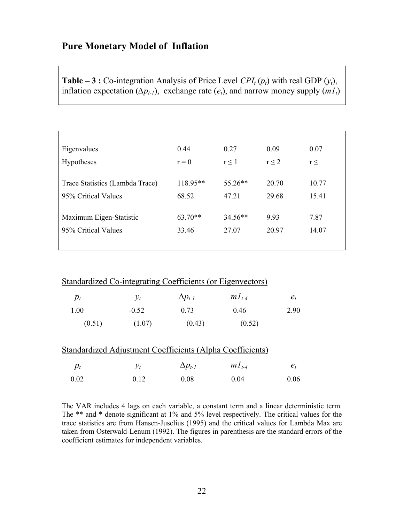# **Pure Monetary Model of Inflation**

**Table – 3 :** Co-integration Analysis of Price Level  $\text{CPI}_{t}(p_{t})$  with real GDP  $(y_{t})$ , inflation expectation ( $\Delta p_{t-1}$ ), exchange rate ( $e_t$ ), and narrow money supply ( $m_l$ )

| 0.44      | 0.27       | 0.09       | 0.07     |
|-----------|------------|------------|----------|
| $r = 0$   | $r \leq 1$ | $r \leq 2$ | $r \leq$ |
|           |            |            |          |
| 118.95**  | $55.26**$  | 20.70      | 10.77    |
| 68.52     | 47.21      | 29.68      | 15.41    |
|           |            |            |          |
| $63.70**$ | $34.56**$  | 9.93       | 7.87     |
| 33.46     | 27.07      | 20.97      | 14.07    |
|           |            |            |          |
|           |            |            |          |

| <b>Standardized Co-integrating Coefficients (or Eigenvectors)</b> |         |                  |            |       |  |  |  |
|-------------------------------------------------------------------|---------|------------------|------------|-------|--|--|--|
| $p_t$                                                             | $v_t$   | $\Delta p_{t-1}$ | $mI_{t-4}$ | $e_t$ |  |  |  |
| 1.00                                                              | $-0.52$ | 0.73             | 0.46       | 2.90  |  |  |  |
| (0.51)                                                            | (1.07)  | (0.43)           | (0.52)     |       |  |  |  |

| Standardized Adjustment Coefficients (Alpha Coefficients) |       |                  |            |         |  |  |
|-----------------------------------------------------------|-------|------------------|------------|---------|--|--|
| $p_t$                                                     | $V_t$ | $\Delta p_{t-1}$ | $mI_{t-4}$ | $e_{t}$ |  |  |
| 0.02                                                      | 012   | 0.08             | 0.04       | 0.06    |  |  |

The VAR includes 4 lags on each variable, a constant term and a linear deterministic term. The \*\* and \* denote significant at 1% and 5% level respectively. The critical values for the trace statistics are from Hansen-Juselius (1995) and the critical values for Lambda Max are taken from Osterwald-Lenum (1992). The figures in parenthesis are the standard errors of the coefficient estimates for independent variables.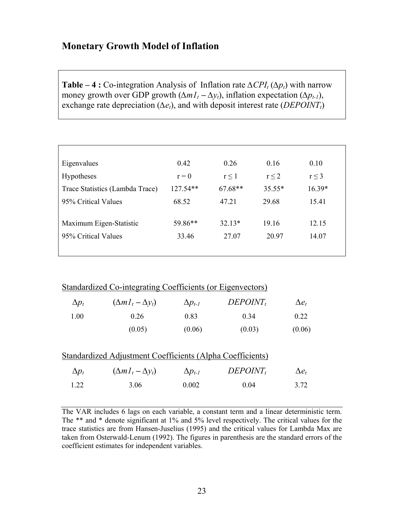# **Monetary Growth Model of Inflation**

**Table – 4 :** Co-integration Analysis of Inflation rate  $\Delta CPI_t(\Delta p_t)$  with narrow money growth over GDP growth  $(\Delta m I_t - \Delta y_t)$ , inflation expectation  $(\Delta p_{t-1})$ , exchange rate depreciation ( $\Delta e_t$ ), and with deposit interest rate (*DEPOINT<sub>t</sub>*)

| Eigenvalues                     | 0.42       | 0.26       | 0.16       | 0.10       |
|---------------------------------|------------|------------|------------|------------|
| <b>Hypotheses</b>               | $r = 0$    | $r \leq 1$ | $r \leq 2$ | $r \leq 3$ |
| Trace Statistics (Lambda Trace) | $127.54**$ | $67.68**$  | $35.55*$   | $16.39*$   |
| 95% Critical Values             | 68.52      | 47.21      | 29.68      | 15.41      |
|                                 |            |            |            |            |
| Maximum Eigen-Statistic         | 59.86**    | $32.13*$   | 19 16      | 12.15      |
| 95% Critical Values             | 33.46      | 27.07      | 20.97      | 14.07      |
|                                 |            |            |            |            |

## Standardized Co-integrating Coefficients (or Eigenvectors)

| $\Delta p_t$ | $(\Delta m I_t - \Delta y_t)$ | $\Delta p_{t-1}$ | $DEPOINT_t$ | $\Delta e_t$ |
|--------------|-------------------------------|------------------|-------------|--------------|
| 1.00         | 0.26                          | 0.83             | 0.34        | 0.22         |
|              | (0.05)                        | (0.06)           | (0.03)      | (0.06)       |

|              | Standardized Adjustment Coefficients (Alpha Coefficients) |                  |             |              |
|--------------|-----------------------------------------------------------|------------------|-------------|--------------|
| $\Delta p_t$ | $(\Delta m I_t - \Delta y_t)$                             | $\Delta p_{t-1}$ | $DEPOINT_t$ | $\Delta e_t$ |
| 1 22         | 3.06                                                      | 0.002            | 0.04        | 3.72         |

The VAR includes 6 lags on each variable, a constant term and a linear deterministic term. The \*\* and \* denote significant at 1% and 5% level respectively. The critical values for the trace statistics are from Hansen-Juselius (1995) and the critical values for Lambda Max are taken from Osterwald-Lenum (1992). The figures in parenthesis are the standard errors of the coefficient estimates for independent variables.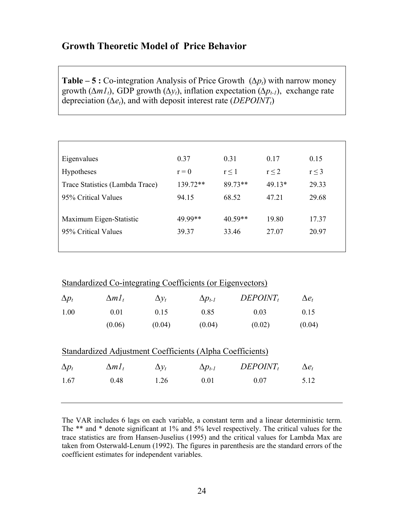# **Growth Theoretic Model of Price Behavior**

**Table – 5 :** Co-integration Analysis of Price Growth  $(∆p_t)$  with narrow money growth ( $\Delta m_l$ ), GDP growth ( $\Delta y_l$ ), inflation expectation ( $\Delta p_l$ ), exchange rate depreciation ( $\Delta e_t$ ), and with deposit interest rate ( $DEPOINT_t$ )

| Eigenvalues                     | 0.37       | 0.31       | 0.17       | 0.15       |
|---------------------------------|------------|------------|------------|------------|
| Hypotheses                      | $r = 0$    | $r \leq 1$ | $r \leq 2$ | $r \leq 3$ |
| Trace Statistics (Lambda Trace) | $139.72**$ | 89.73**    | $49.13*$   | 29.33      |
| 95% Critical Values             | 94.15      | 68.52      | 47.21      | 29.68      |
|                                 |            |            |            |            |
| Maximum Eigen-Statistic         | 49 99**    | $40.59**$  | 19.80      | 17.37      |
| 95% Critical Values             | 39.37      | 33.46      | 27.07      | 20.97      |
|                                 |            |            |            |            |

|              | Standardized Co-integrating Coefficients (or Eigenvectors) |              |                  |             |              |  |  |  |
|--------------|------------------------------------------------------------|--------------|------------------|-------------|--------------|--|--|--|
| $\Delta p_t$ | $\Delta m I_t$                                             | $\Delta y_t$ | $\Delta p_{t-1}$ | $DEPOINT_t$ | $\Delta e_t$ |  |  |  |
| 1.00         | 0.01                                                       | 0.15         | 0.85             | 0.03        | 0.15         |  |  |  |
|              | (0.06)                                                     | (0.04)       | (0.04)           | (0.02)      | (0.04)       |  |  |  |
|              | Standardized Adjustment Coefficients (Alpha Coefficients)  |              |                  |             |              |  |  |  |
| $\Delta p_t$ | $\Delta m I_t$                                             | $\Delta y_t$ | $\Delta p_{t-1}$ | $DEPOINT_t$ | $\Delta e_t$ |  |  |  |
| 1.67         | 0.48                                                       | 1.26         | 0.01             | 0.07        | 5.12         |  |  |  |

The VAR includes 6 lags on each variable, a constant term and a linear deterministic term. The \*\* and \* denote significant at 1% and 5% level respectively. The critical values for the trace statistics are from Hansen-Juselius (1995) and the critical values for Lambda Max are taken from Osterwald-Lenum (1992). The figures in parenthesis are the standard errors of the coefficient estimates for independent variables.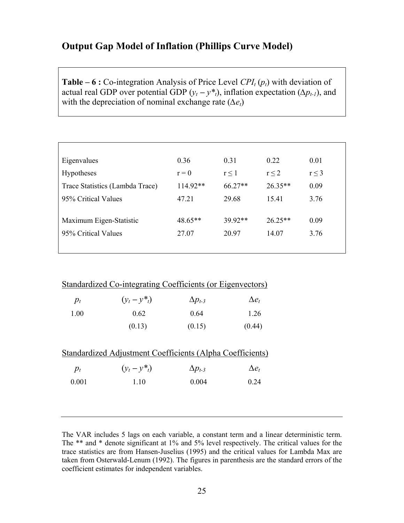# **Output Gap Model of Inflation (Phillips Curve Model)**

**Table – 6 :** Co-integration Analysis of Price Level  $\text{CPI}_{t}(p_{t})$  with deviation of actual real GDP over potential GDP  $(y_t - y^*t)$ , inflation expectation ( $\Delta p_{t-1}$ ), and with the depreciation of nominal exchange rate  $(\Delta e_t)$ 

| Eigenvalues                     | 0.36     | 0.31       | 0.22       | 0.01       |
|---------------------------------|----------|------------|------------|------------|
| <b>Hypotheses</b>               | $r = 0$  | $r \leq 1$ | $r \leq 2$ | $r \leq 3$ |
| Trace Statistics (Lambda Trace) | 114.92** | $66.27**$  | $26.35**$  | 0.09       |
| 95% Critical Values             | 47 21    | 29.68      | 15.41      | 3.76       |
|                                 |          |            |            |            |
| Maximum Eigen-Statistic         | 48.65**  | $3992**$   | $26.25**$  | 0.09       |
| 95% Critical Values             | 27.07    | 20.97      | 14.07      | 3.76       |
|                                 |          |            |            |            |

|       | Standardized Co-integrating Coefficients (or Eigenvectors) |                  |              |
|-------|------------------------------------------------------------|------------------|--------------|
| $p_t$ | $(y_t - y_{t}^*)$                                          | $\Delta p_{t-3}$ | $\Delta e_t$ |
| 1.00  | 0.62                                                       | 0.64             | 1.26         |
|       | (0.13)                                                     | (0.15)           | (0.44)       |
|       |                                                            |                  |              |

| Standardized Adjustment Coefficients (Alpha Coefficients) |                   |                  |              |  |
|-----------------------------------------------------------|-------------------|------------------|--------------|--|
| $p_t$                                                     | $(y_t - y_{t}^*)$ | $\Delta p_{t-3}$ | $\Delta e_t$ |  |
| 0.001                                                     | 1 10              | 0.004            | 0.24         |  |

The VAR includes 5 lags on each variable, a constant term and a linear deterministic term. The \*\* and \* denote significant at 1% and 5% level respectively. The critical values for the trace statistics are from Hansen-Juselius (1995) and the critical values for Lambda Max are taken from Osterwald-Lenum (1992). The figures in parenthesis are the standard errors of the coefficient estimates for independent variables.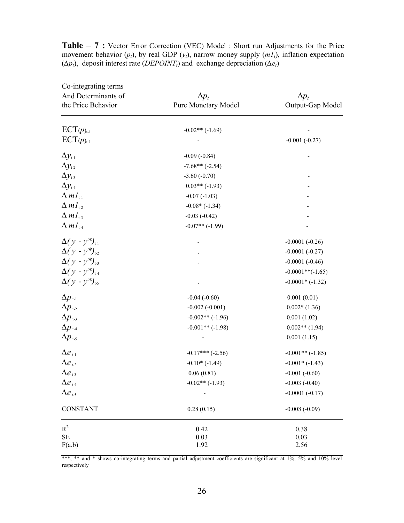| Co-integrating terms                           |                      |                    |
|------------------------------------------------|----------------------|--------------------|
| And Determinants of                            | $\Delta p_t$         | $\Delta p_t$       |
| the Price Behavior                             | Pure Monetary Model  | Output-Gap Model   |
| $\text{ECT}(p)_{t-1}$                          | $-0.02**(-1.69)$     |                    |
| $\text{ECT}(p)_{t-1}$                          |                      | $-0.001(-0.27)$    |
| $\Delta y_{t-1}$                               | $-0.09(-0.84)$       |                    |
| $\Delta y_{1-2}$                               | $-7.68**(-2.54)$     |                    |
| $\Delta y_{t-3}$                               | $-3.60(-0.70)$       |                    |
| $\Delta y_{t-4}$                               | $.0.03**(-1.93)$     |                    |
| $\Delta ml_{\scriptscriptstyle\rm t\text{-}1}$ | $-0.07(-1.03)$       |                    |
| $\Delta ml_{1-2}$                              | $-0.08*(-1.34)$      |                    |
| $\Delta ml_{1-3}$                              | $-0.03(-0.42)$       |                    |
| $\Delta ml_{H}$                                | $-0.07**(-1.99)$     |                    |
| $\Delta(y - y^*)_{t-1}$                        |                      | $-0.0001(-0.26)$   |
| $\Delta(y - y^*)_{t=2}$                        |                      | $-0.0001(-0.27)$   |
| $\Delta(y - y^*)_{t=3}$                        |                      | $-0.0001(-0.46)$   |
| $\Delta(y - y^*)_{t-4}$                        |                      | $-0.0001**(-1.65)$ |
| $\Delta(y - y^*)_{t=5}$                        |                      | $-0.0001*$ (-1.32) |
| $\Delta p_{\scriptscriptstyle{\text{t-1}}}$    | $-0.04(-0.60)$       | 0.001(0.01)        |
| $\Delta p_{12}$                                | $-0.002(-0.001)$     | $0.002*(1.36)$     |
| $\Delta p_{\text{t-3}}$                        | $-0.002**(-1.96)$    | 0.001(1.02)        |
| $\Delta p_{\text{\tiny t-4}}$                  | $-0.001**(-1.98)$    | $0.002**$ (1.94)   |
| $\Delta p_{\text{\tiny t-5}}$                  |                      | 0.001(1.15)        |
| $\Delta e_{t-1}$                               | $-0.17***$ $(-2.56)$ | $-0.001**(-1.85)$  |
| $\Delta e_{12}$                                | $-0.10*(-1.49)$      | $-0.001*(-1.43)$   |
| $\Delta e_{13}$                                | 0.06(0.81)           | $-0.001(-0.60)$    |
| $\Delta e$ 1.4                                 | $-0.02**(-1.93)$     | $-0.003(-0.40)$    |
| $\Delta e_{1.5}$                               |                      | $-0.0001(-0.17)$   |
| <b>CONSTANT</b>                                | 0.28(0.15)           | $-0.008(-0.09)$    |
| $R^2$                                          | 0.42                 | 0.38               |
| $\rm SE$                                       | 0.03                 | 0.03               |
| F(a,b)                                         | 1.92                 | 2.56               |

**Table – 7 :** Vector Error Correction (VEC) Model : Short run Adjustments for the Price movement behavior  $(p_t)$ , by real GDP  $(y_t)$ , narrow money supply  $(m_t)$ , inflation expectation  $(\Delta p_t)$ , deposit interest rate (*DEPOINT<sub>t</sub>*) and exchange depreciation ( $\Delta e_t$ )

\*\*\*, \*\* and \* shows co-integrating terms and partial adjustment coefficients are significant at 1%, 5% and 10% level respectively